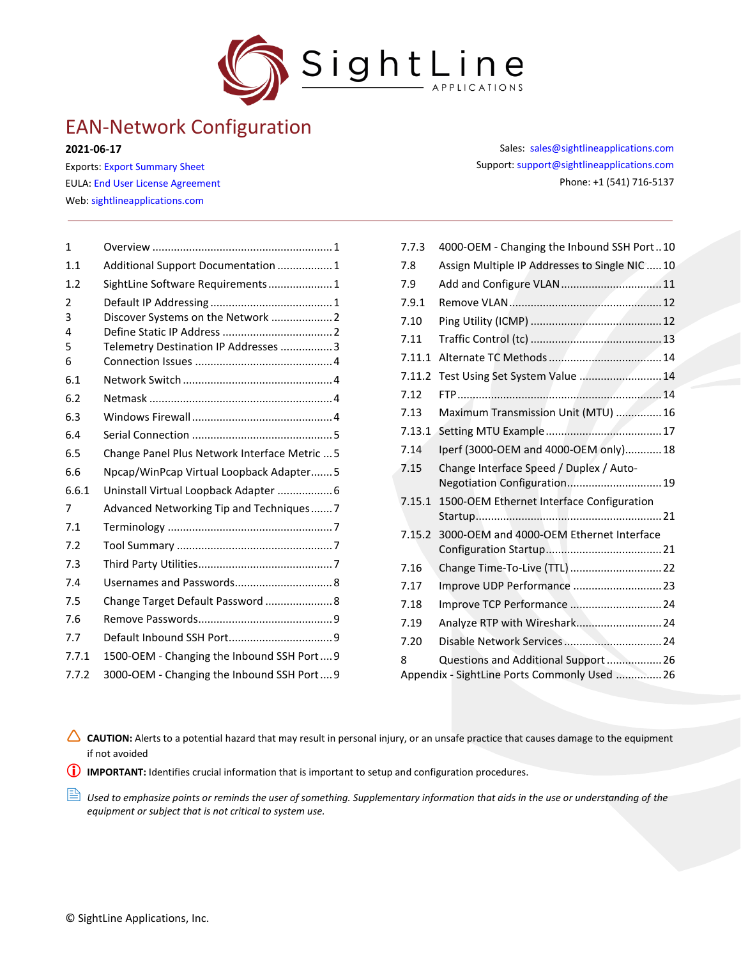

**2021-06-17**

Exports: [Export Summary Sheet](https://sightlineapplications.com/wp-content/uploads/Exports-Summary.pdf) EULA[: End User License Agreement](https://sightlineapplications.com/wp-content/uploads/SightLine-Product-License.pdf) Web[: sightlineapplications.com](http://sightlineapplications.com/support/software/)

| $\mathbf{1}$ |                                               |  |
|--------------|-----------------------------------------------|--|
| 1.1          | Additional Support Documentation  1           |  |
| 1.2          | SightLine Software Requirements 1             |  |
| 2            |                                               |  |
| 3            | Discover Systems on the Network  2            |  |
| 4            |                                               |  |
| 5            | Telemetry Destination IP Addresses  3         |  |
| 6            |                                               |  |
| 6.1          |                                               |  |
| 6.2          |                                               |  |
| 6.3          |                                               |  |
| 6.4          |                                               |  |
| 6.5          | Change Panel Plus Network Interface Metric  5 |  |
| 6.6          | Npcap/WinPcap Virtual Loopback Adapter5       |  |
| 6.6.1        | Uninstall Virtual Loopback Adapter  6         |  |
| 7            | Advanced Networking Tip and Techniques7       |  |
| 7.1          |                                               |  |
| 7.2          |                                               |  |
| 7.3          |                                               |  |
| 7.4          |                                               |  |
| 7.5          | Change Target Default Password  8             |  |
| 7.6          |                                               |  |
| 7.7          |                                               |  |
| 7.7.1        | 1500-OEM - Changing the Inbound SSH Port 9    |  |
| 7.7.2        | 3000-OEM - Changing the Inbound SSH Port 9    |  |
|              |                                               |  |

Sales: [sales@sightlineapplications.com](mailto:sales@sightlineapplications.com) Support[: support@sightlineapplications.com](mailto:support@sightlineapplications.com) Phone: +1 (541) 716-5137

| 7.7.3  | 4000-OEM - Changing the Inbound SSH Port10                                           |  |
|--------|--------------------------------------------------------------------------------------|--|
| 7.8    | Assign Multiple IP Addresses to Single NIC  10                                       |  |
| 7.9    |                                                                                      |  |
| 7.9.1  |                                                                                      |  |
| 7.10   |                                                                                      |  |
| 7.11   |                                                                                      |  |
| 7.11.1 |                                                                                      |  |
| 7.11.2 | Test Using Set System Value  14                                                      |  |
| 7.12   |                                                                                      |  |
| 7.13   | Maximum Transmission Unit (MTU)  16                                                  |  |
| 7.13.1 |                                                                                      |  |
| 7.14   | Iperf (3000-OEM and 4000-OEM only) 18                                                |  |
| 7.15   | Change Interface Speed / Duplex / Auto-                                              |  |
|        | Negotiation Configuration 19                                                         |  |
| 7.15.1 | 1500-OEM Ethernet Interface Configuration                                            |  |
|        |                                                                                      |  |
| 7.15.2 | 3000-OEM and 4000-OEM Ethernet Interface                                             |  |
| 7.16   | Change Time-To-Live (TTL)  22                                                        |  |
| 7.17   | Improve UDP Performance  23                                                          |  |
| 7.18   | Improve TCP Performance  24                                                          |  |
| 7.19   |                                                                                      |  |
|        | Analyze RTP with Wireshark 24                                                        |  |
| 7.20   |                                                                                      |  |
| 8      | Questions and Additional Support  26<br>Appendix - SightLine Ports Commonly Used  26 |  |
|        |                                                                                      |  |

CAUTION: Alerts to a potential hazard that may result in personal injury, or an unsafe practice that causes damage to the equipment if not avoided

**IMPORTANT:** Identifies crucial information that is important to setup and configuration procedures.

 *Used to emphasize points or reminds the user of something. Supplementary information that aids in the use or understanding of the equipment or subject that is not critical to system use.*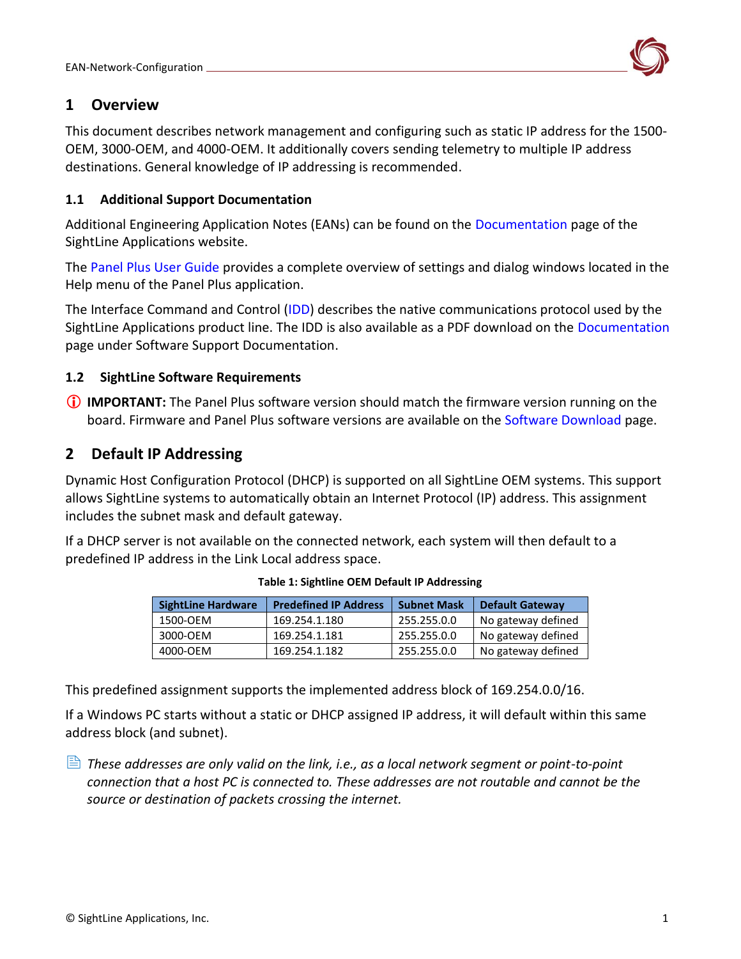

# <span id="page-1-0"></span>**1 Overview**

This document describes network management and configuring such as static IP address for the 1500- OEM, 3000-OEM, and 4000-OEM. It additionally covers sending telemetry to multiple IP address destinations. General knowledge of IP addressing is recommended.

# <span id="page-1-1"></span>**1.1 Additional Support Documentation**

Additional Engineering Application Notes (EANs) can be found on the [Documentation](https://sightlineapplications.com/documentation/) page of the SightLine Applications website.

The [Panel Plus User Guide](https://sightlineapplications.com/downloads/) provides a complete overview of settings and dialog windows located in the Help menu of the Panel Plus application.

The Interface Command and Control [\(IDD\)](http://sightlineapplications.com/idd/) describes the native communications protocol used by the SightLine Applications product line. The IDD is also available as a PDF download on the [Documentation](https://sightlineapplications.com/documentation/) page under Software Support Documentation.

# <span id="page-1-2"></span>**1.2 SightLine Software Requirements**

 **IMPORTANT:** The Panel Plus software version should match the firmware version running on the board. Firmware and Panel Plus software versions are available on the [Software Download](https://sightlineapplications.com/downloads/) page.

# <span id="page-1-3"></span>**2 Default IP Addressing**

Dynamic Host Configuration Protocol (DHCP) is supported on all SightLine OEM systems. This support allows SightLine systems to automatically obtain an Internet Protocol (IP) address. This assignment includes the subnet mask and default gateway.

If a DHCP server is not available on the connected network, each system will then default to a predefined IP address in the Link Local address space.

| <b>SightLine Hardware</b> | <b>Predefined IP Address</b> | <b>Subnet Mask</b> | <b>Default Gateway</b> |
|---------------------------|------------------------------|--------------------|------------------------|
| 1500-OEM                  | 169.254.1.180                | 255.255.0.0        | No gateway defined     |
| 3000-OEM                  | 169.254.1.181                | 255.255.0.0        | No gateway defined     |
| 4000-OEM                  | 169.254.1.182                | 255.255.0.0        | No gateway defined     |

**Table 1: Sightline OEM Default IP Addressing**

This predefined assignment supports the implemented address block of 169.254.0.0/16.

If a Windows PC starts without a static or DHCP assigned IP address, it will default within this same address block (and subnet).

 *These addresses are only valid on the link, i.e., as a local network segment or point-to-point connection that a host PC is connected to. These addresses are not routable and cannot be the source or destination of packets crossing the internet.*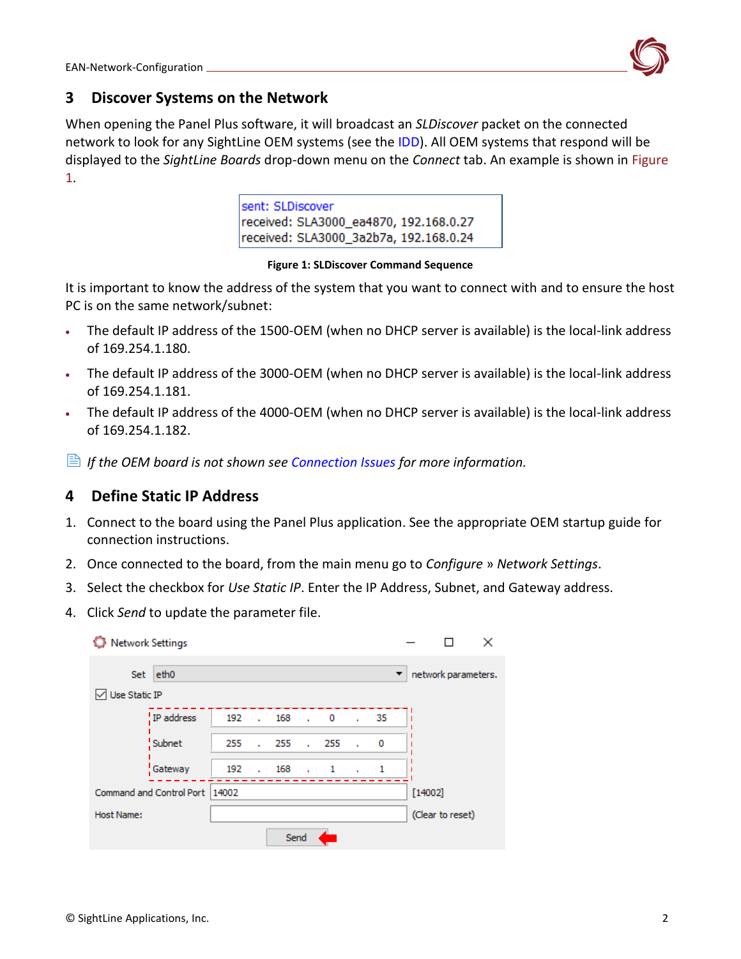

# <span id="page-2-0"></span>**3 Discover Systems on the Network**

When opening the Panel Plus software, it will broadcast an *SLDiscover* packet on the connected network to look for any SightLine OEM systems (see the [IDD\)](http://sightlineapplications.com/idd/). All OEM systems that respond will be displayed to the *SightLine Boards* drop-down menu on the *Connect* tab. An example is shown in Figure 1.

> sent: SLDiscover received: SLA3000\_ea4870, 192.168.0.27 received: SLA3000\_3a2b7a, 192.168.0.24

#### **Figure 1: SLDiscover Command Sequence**

It is important to know the address of the system that you want to connect with and to ensure the host PC is on the same network/subnet:

- The default IP address of the 1500-OEM (when no DHCP server is available) is the local-link address of 169.254.1.180.
- The default IP address of the 3000-OEM (when no DHCP server is available) is the local-link address of 169.254.1.181.
- The default IP address of the 4000-OEM (when no DHCP server is available) is the local-link address of 169.254.1.182.
- *If the OEM board is not shown se[e Connection Issues](#page-4-0) for more information.*

# <span id="page-2-1"></span>**4 Define Static IP Address**

- 1. Connect to the board using the Panel Plus application. See the appropriate OEM startup guide for connection instructions.
- 2. Once connected to the board, from the main menu go to *Configure* » *Network Settings*.
- 3. Select the checkbox for *Use Static IP*. Enter the IP Address, Subnet, and Gateway address.
- 4. Click *Send* to update the parameter file.

|                          | <b>Network Settings</b> |     |                             |       |        |              |                             |           |                  |                     | × |
|--------------------------|-------------------------|-----|-----------------------------|-------|--------|--------------|-----------------------------|-----------|------------------|---------------------|---|
| Set<br>Use Static IP     | eth <sub>0</sub>        |     |                             |       |        |              |                             | ▼         |                  | network parameters. |   |
|                          | IP address              | 192 |                             | . 168 |        | $\cdot$ 0    | $\mathbf{r}$ .              | 35        |                  |                     |   |
|                          | Subnet                  | 255 | $\mathbf{r}$                | 255   |        | . 255        | $\mathcal{L}_{\mathcal{A}}$ | 0         |                  |                     |   |
|                          | Gateway                 | 192 | $\mathcal{L}^{\mathcal{L}}$ | 168   | $\sim$ | $\mathbf{1}$ | $\mathbf{r}$                | 1         |                  |                     |   |
| Command and Control Port | 14002                   |     |                             |       |        |              |                             | $[14002]$ |                  |                     |   |
| Host Name:               |                         |     |                             |       |        |              |                             |           | (Clear to reset) |                     |   |
| Send                     |                         |     |                             |       |        |              |                             |           |                  |                     |   |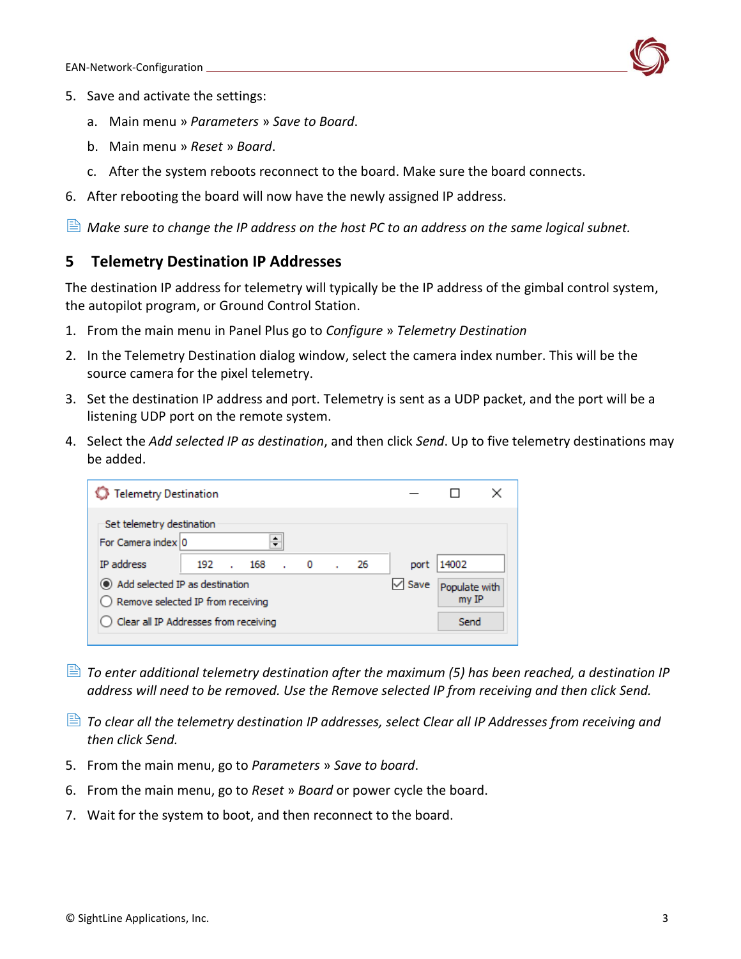

- 5. Save and activate the settings:
	- a. Main menu » *Parameters* » *Save to Board*.
	- b. Main menu » *Reset* » *Board*.
	- c. After the system reboots reconnect to the board. Make sure the board connects.
- 6. After rebooting the board will now have the newly assigned IP address.

*Make sure to change the IP address on the host PC to an address on the same logical subnet.*

# <span id="page-3-0"></span>**5 Telemetry Destination IP Addresses**

The destination IP address for telemetry will typically be the IP address of the gimbal control system, the autopilot program, or Ground Control Station.

- 1. From the main menu in Panel Plus go to *Configure* » *Telemetry Destination*
- 2. In the Telemetry Destination dialog window, select the camera index number. This will be the source camera for the pixel telemetry.
- 3. Set the destination IP address and port. Telemetry is sent as a UDP packet, and the port will be a listening UDP port on the remote system.
- 4. Select the *Add selected IP as destination*, and then click *Send*. Up to five telemetry destinations may be added.

| <b>Telemetry Destination</b>                                               |     |     |  |                          |  |    |      |                        |  |
|----------------------------------------------------------------------------|-----|-----|--|--------------------------|--|----|------|------------------------|--|
| Set telemetry destination<br>For Camera index 0                            |     |     |  |                          |  |    |      |                        |  |
| IP address                                                                 | 192 | 168 |  | $\overline{\phantom{0}}$ |  | 26 | port | 14002                  |  |
| Add selected IP as destination<br>Save                                     |     |     |  |                          |  |    |      | Populate with<br>my IP |  |
| Remove selected IP from receiving<br>Clear all IP Addresses from receiving |     |     |  |                          |  |    |      | Send                   |  |
|                                                                            |     |     |  |                          |  |    |      |                        |  |

- *To enter additional telemetry destination after the maximum (5) has been reached, a destination IP address will need to be removed. Use the Remove selected IP from receiving and then click Send.*
- *To clear all the telemetry destination IP addresses, select Clear all IP Addresses from receiving and then click Send.*
- 5. From the main menu, go to *Parameters* » *Save to board*.
- 6. From the main menu, go to *Reset* » *Board* or power cycle the board.
- 7. Wait for the system to boot, and then reconnect to the board.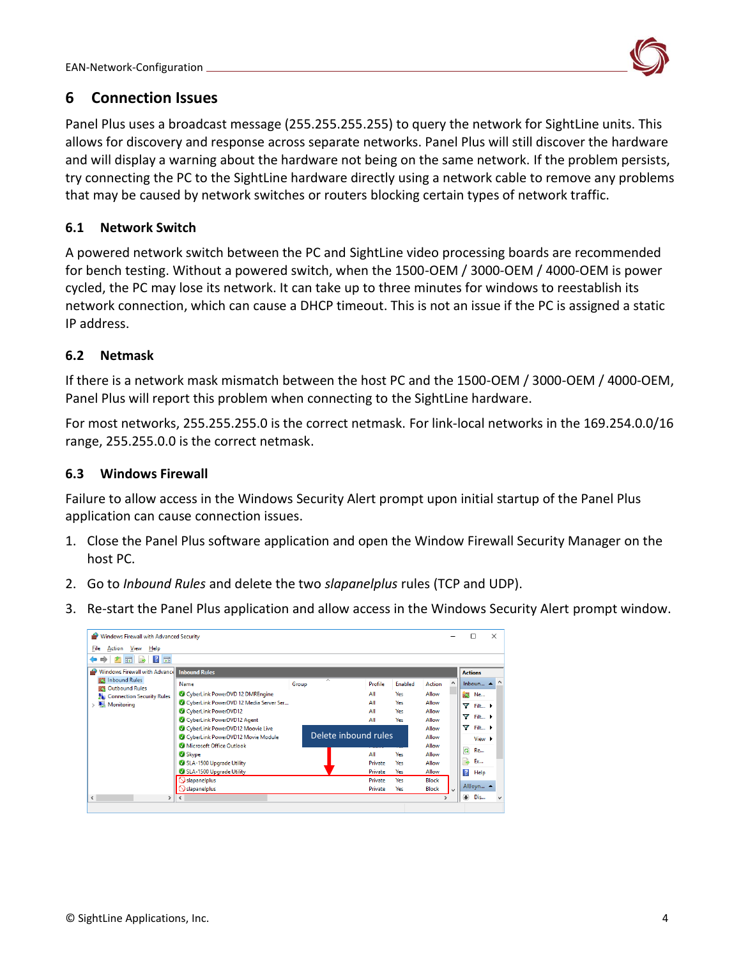

# <span id="page-4-0"></span>**6 Connection Issues**

Panel Plus uses a broadcast message (255.255.255.255) to query the network for SightLine units. This allows for discovery and response across separate networks. Panel Plus will still discover the hardware and will display a warning about the hardware not being on the same network. If the problem persists, try connecting the PC to the SightLine hardware directly using a network cable to remove any problems that may be caused by network switches or routers blocking certain types of network traffic.

# <span id="page-4-1"></span>**6.1 Network Switch**

A powered network switch between the PC and SightLine video processing boards are recommended for bench testing. Without a powered switch, when the 1500-OEM / 3000-OEM / 4000-OEM is power cycled, the PC may lose its network. It can take up to three minutes for windows to reestablish its network connection, which can cause a DHCP timeout. This is not an issue if the PC is assigned a static IP address.

# <span id="page-4-2"></span>**6.2 Netmask**

If there is a network mask mismatch between the host PC and the 1500-OEM / 3000-OEM / 4000-OEM, Panel Plus will report this problem when connecting to the SightLine hardware.

For most networks, 255.255.255.0 is the correct netmask. For link-local networks in the 169.254.0.0/16 range, 255.255.0.0 is the correct netmask.

# <span id="page-4-3"></span>**6.3 Windows Firewall**

Failure to allow access in the Windows Security Alert prompt upon initial startup of the Panel Plus application can cause connection issues.

- 1. Close the Panel Plus software application and open the Window Firewall Security Manager on the host PC.
- 2. Go to *Inbound Rules* and delete the two *slapanelplus* rules (TCP and UDP).
- 3. Re-start the Panel Plus application and allow access in the Windows Security Alert prompt window.

| Windows Firewall with Advanced Security                                                                                                                                                                                                                         |                                                                                                                                                                                                                                                                                                               |                                                      |                                                                  |                                                                                             |                                                                                                  |                     | □                                                                                             | $\times$                                                             |
|-----------------------------------------------------------------------------------------------------------------------------------------------------------------------------------------------------------------------------------------------------------------|---------------------------------------------------------------------------------------------------------------------------------------------------------------------------------------------------------------------------------------------------------------------------------------------------------------|------------------------------------------------------|------------------------------------------------------------------|---------------------------------------------------------------------------------------------|--------------------------------------------------------------------------------------------------|---------------------|-----------------------------------------------------------------------------------------------|----------------------------------------------------------------------|
| File<br>Action View<br>Help                                                                                                                                                                                                                                     |                                                                                                                                                                                                                                                                                                               |                                                      |                                                                  |                                                                                             |                                                                                                  |                     |                                                                                               |                                                                      |
| $\overline{R}$<br>国<br>わ読<br>同<br>⇚<br>$\Rightarrow$                                                                                                                                                                                                            |                                                                                                                                                                                                                                                                                                               |                                                      |                                                                  |                                                                                             |                                                                                                  |                     |                                                                                               |                                                                      |
| Windows Firewall with Advance<br>a de porto de la contrada de la contrada de la contrada de la contrada de la contrada de la contrada de la contrada de la contrada de la contrada de la contrada de la contrada de la contrada de la contrada de la contrada d | <b>Inbound Rules</b>                                                                                                                                                                                                                                                                                          |                                                      |                                                                  |                                                                                             |                                                                                                  |                     | <b>Actions</b>                                                                                |                                                                      |
| <b>REAL Inbound Rules</b><br><b>DES</b> Outbound Rules<br>Connection Security Rules<br><b>Monitoring</b>                                                                                                                                                        | Name<br>CyberLink PowerDVD 12 DMREngine<br>CyberLink PowerDVD 12 Media Server Ser<br>CyberLink PowerDVD12<br>CyberLink PowerDVD12 Agent<br>CyberLink PowerDVD12 Moovie Live<br>CyberLink PowerDVD12 Movie Module<br>Microsoft Office Outlook<br>Skype<br>SLA-1500 Upgrade Utility<br>SLA-1500 Upgrade Utility | $\overline{\wedge}$<br>Group<br>Delete inbound rules | Profile<br>ΔII<br>All<br>All<br>All<br>All<br>Private<br>Private | Enabled<br><b>Yes</b><br><b>Yes</b><br><b>Yes</b><br><b>Yes</b><br><b>Yes</b><br>Yes<br>Yes | Action<br>Allow<br>Allow<br>Allow<br>Allow<br>Allow<br>Allow<br>Allow<br>Allow<br>Allow<br>Allow | $\hat{\phantom{a}}$ | Inboun A<br>Ne<br>v<br>v<br>v<br>$\alpha$<br><b>Re</b><br><b>Ex</b><br>₹<br>$\vert$ ?<br>Help | $\wedge$<br>Filt ><br>Filt ▶<br>Filt ▶<br>View $\blacktriangleright$ |
|                                                                                                                                                                                                                                                                 | $\Im$ slapanelplus<br>$\bigcirc$ slapanelplus                                                                                                                                                                                                                                                                 |                                                      | Private<br>Private                                               | Yes<br><b>Yes</b>                                                                           | <b>Block</b><br><b>Block</b>                                                                     | $\checkmark$        | AllJoyn ▲                                                                                     |                                                                      |
| $\,<\,$<br>>  <                                                                                                                                                                                                                                                 |                                                                                                                                                                                                                                                                                                               |                                                      |                                                                  |                                                                                             | $\mathbf{r}$                                                                                     |                     | ۰<br>Dis                                                                                      | $\checkmark$                                                         |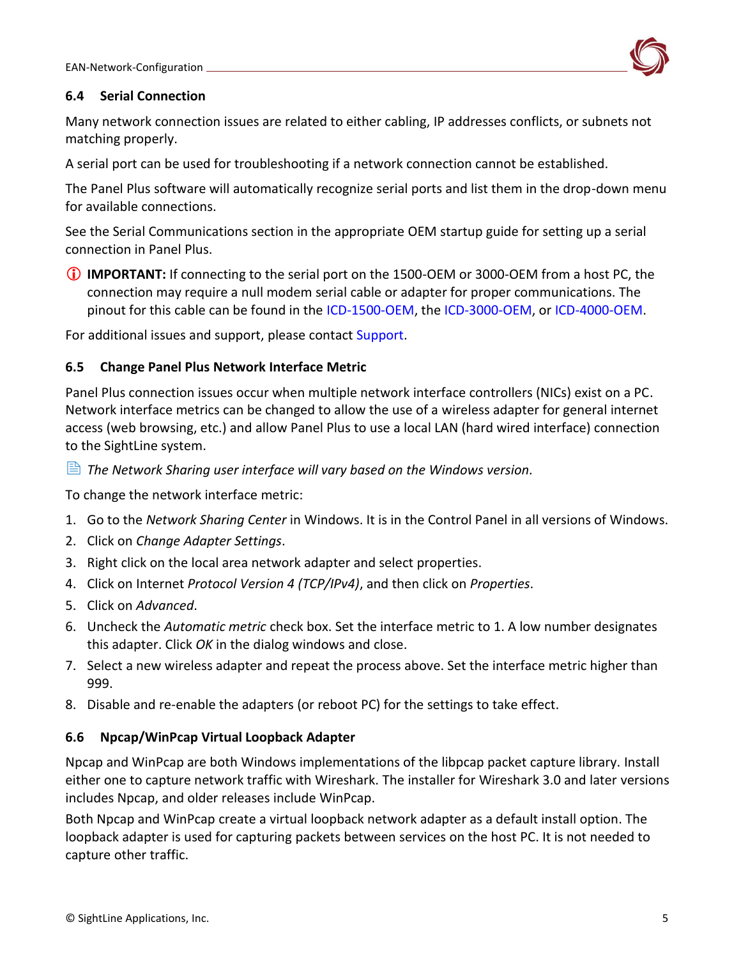

# <span id="page-5-0"></span>**6.4 Serial Connection**

Many network connection issues are related to either cabling, IP addresses conflicts, or subnets not matching properly.

A serial port can be used for troubleshooting if a network connection cannot be established.

The Panel Plus software will automatically recognize serial ports and list them in the drop-down menu for available connections.

See the Serial Communications section in the appropriate OEM startup guide for setting up a serial connection in Panel Plus.

 **IMPORTANT:** If connecting to the serial port on the 1500-OEM or 3000-OEM from a host PC, the connection may require a null modem serial cable or adapter for proper communications. The pinout for this cable can be found in the [ICD-1500-OEM,](https://sightlineapplications.com/wp-content/uploads/ICD-1500-OEM.pdf) the [ICD-3000-OEM,](http://sightlineapplications.com/wp-content/uploads/ICD-3000-OEM.pdf) or [ICD-4000-OEM.](http://sightlineapplications.com/wp-content/uploads/ICD-SLA-4000-OEM.pdf)

For additional issues and support, please contact [Support.](mailto:support@sightlineapplications.com)

# <span id="page-5-1"></span>**6.5 Change Panel Plus Network Interface Metric**

Panel Plus connection issues occur when multiple network interface controllers (NICs) exist on a PC. Network interface metrics can be changed to allow the use of a wireless adapter for general internet access (web browsing, etc.) and allow Panel Plus to use a local LAN (hard wired interface) connection to the SightLine system.

*The Network Sharing user interface will vary based on the Windows version.* 

To change the network interface metric:

- 1. Go to the *Network Sharing Center* in Windows. It is in the Control Panel in all versions of Windows.
- 2. Click on *Change Adapter Settings*.
- 3. Right click on the local area network adapter and select properties.
- 4. Click on Internet *Protocol Version 4 (TCP/IPv4)*, and then click on *Properties*.
- 5. Click on *Advanced*.
- 6. Uncheck the *Automatic metric* check box. Set the interface metric to 1. A low number designates this adapter. Click *OK* in the dialog windows and close.
- 7. Select a new wireless adapter and repeat the process above. Set the interface metric higher than 999.
- 8. Disable and re-enable the adapters (or reboot PC) for the settings to take effect.

### <span id="page-5-2"></span>**6.6 Npcap/WinPcap Virtual Loopback Adapter**

Npcap and WinPcap are both Windows implementations of the libpcap packet capture library. Install either one to capture network traffic with Wireshark. The installer for Wireshark 3.0 and later versions includes Npcap, and older releases include WinPcap.

Both Npcap and WinPcap create a virtual loopback network adapter as a default install option. The loopback adapter is used for capturing packets between services on the host PC. It is not needed to capture other traffic.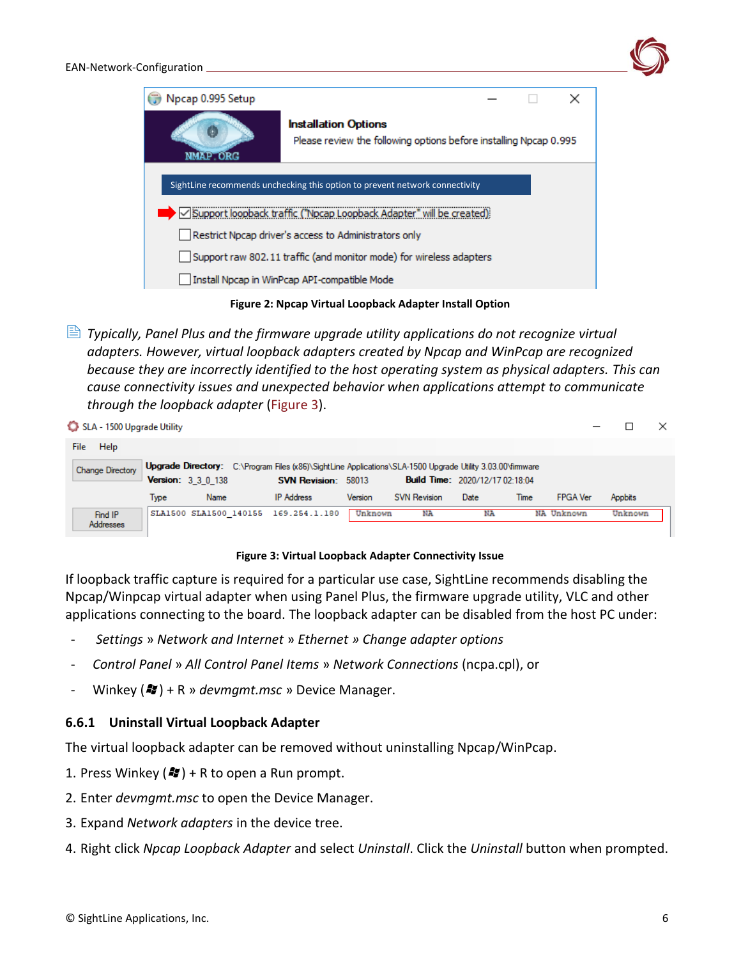

**Figure 2: Npcap Virtual Loopback Adapter Install Option**

 *Typically, Panel Plus and the firmware upgrade utility applications do not recognize virtual adapters. However, virtual loopback adapters created by Npcap and WinPcap are recognized because they are incorrectly identified to the host operating system as physical adapters. This can cause connectivity issues and unexpected behavior when applications attempt to communicate through the loopback adapter* (Figure 3).

| SLA - 1500 Upgrade Utility  |      |                           |                                                                                                                                          |         |                     |                                        |      |                 |         |         | × |
|-----------------------------|------|---------------------------|------------------------------------------------------------------------------------------------------------------------------------------|---------|---------------------|----------------------------------------|------|-----------------|---------|---------|---|
| Help<br>File                |      |                           |                                                                                                                                          |         |                     |                                        |      |                 |         |         |   |
| <b>Change Directory</b>     |      | <b>Version: 3 3 0 138</b> | Upgrade Directory: C:\Program Files (x86)\SightLine Applications\SLA-1500 Upgrade Utility 3.03.00\firmware<br><b>SVN Revision: 58013</b> |         |                     | <b>Build Time: 2020/12/17 02:18:04</b> |      |                 |         |         |   |
|                             | Type | Name                      | <b>IP</b> Address                                                                                                                        | Version | <b>SVN Revision</b> | Date                                   | Time | <b>FPGA Ver</b> | Appbits |         |   |
| Find IP<br><b>Addresses</b> |      |                           | SLA1500 SLA1500 140155 169.254.1.180                                                                                                     | Unknown | NA                  | NA                                     |      | NA Unknown      |         | Unknown |   |

#### **Figure 3: Virtual Loopback Adapter Connectivity Issue**

If loopback traffic capture is required for a particular use case, SightLine recommends disabling the Npcap/Winpcap virtual adapter when using Panel Plus, the firmware upgrade utility, VLC and other applications connecting to the board. The loopback adapter can be disabled from the host PC under:

- *Settings* » *Network and Internet* » *Ethernet » Change adapter options*
- *Control Panel* » *All Control Panel Items* » *Network Connections* (ncpa.cpl), or
- Winkey (**47**) + R » *devmgmt.msc* » Device Manager.

### <span id="page-6-0"></span>**6.6.1 Uninstall Virtual Loopback Adapter**

The virtual loopback adapter can be removed without uninstalling Npcap/WinPcap.

- 1. Press Winkey  $(\mathcal{H})$  + R to open a Run prompt.
- 2. Enter *devmgmt.msc* to open the Device Manager.
- 3. Expand *Network adapters* in the device tree.
- 4. Right click *Npcap Loopback Adapter* and select *Uninstall*. Click the *Uninstall* button when prompted.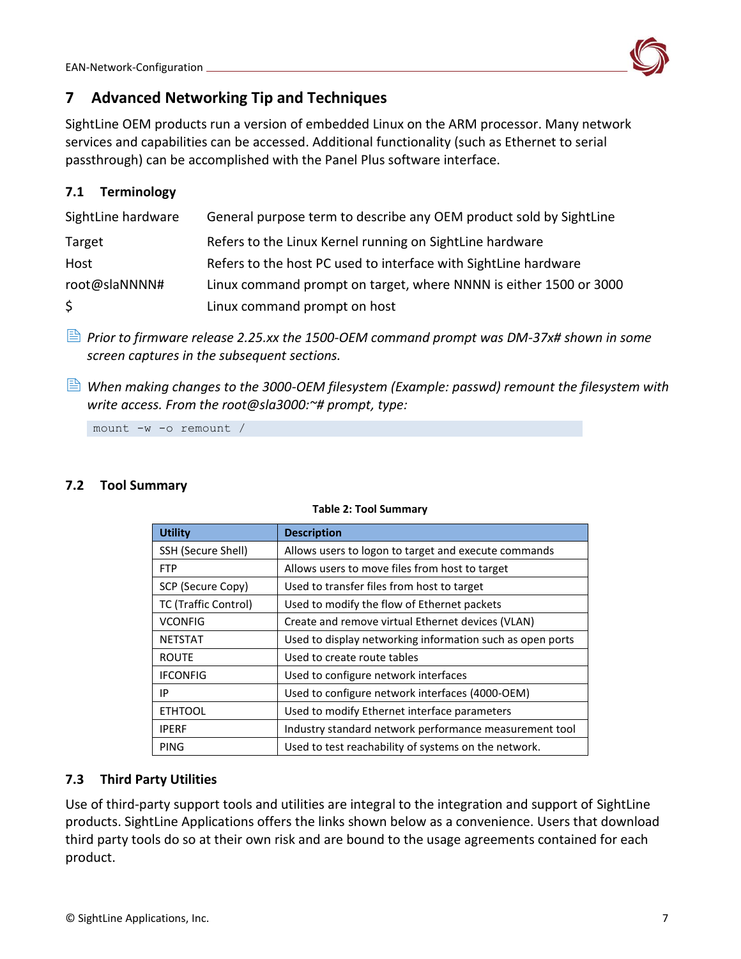

# <span id="page-7-0"></span>**7 Advanced Networking Tip and Techniques**

SightLine OEM products run a version of embedded Linux on the ARM processor. Many network services and capabilities can be accessed. Additional functionality (such as Ethernet to serial passthrough) can be accomplished with the Panel Plus software interface.

# <span id="page-7-1"></span>**7.1 Terminology**

| SightLine hardware | General purpose term to describe any OEM product sold by SightLine |
|--------------------|--------------------------------------------------------------------|
| Target             | Refers to the Linux Kernel running on SightLine hardware           |
| Host               | Refers to the host PC used to interface with SightLine hardware    |
| root@slaNNNN#      | Linux command prompt on target, where NNNN is either 1500 or 3000  |
| \$.                | Linux command prompt on host                                       |

- *Prior to firmware release 2.25.xx the 1500-OEM command prompt was DM-37x# shown in some screen captures in the subsequent sections.*
- *When making changes to the 3000-OEM filesystem (Example: passwd) remount the filesystem with write access. From the root@sla3000:~# prompt, type:*

mount -w -o remount /

# <span id="page-7-2"></span>**7.2 Tool Summary**

| <b>Utility</b>       | <b>Description</b>                                        |
|----------------------|-----------------------------------------------------------|
| SSH (Secure Shell)   | Allows users to logon to target and execute commands      |
| <b>FTP</b>           | Allows users to move files from host to target            |
| SCP (Secure Copy)    | Used to transfer files from host to target                |
| TC (Traffic Control) | Used to modify the flow of Ethernet packets               |
| <b>VCONFIG</b>       | Create and remove virtual Ethernet devices (VLAN)         |
| <b>NETSTAT</b>       | Used to display networking information such as open ports |
| <b>ROUTE</b>         | Used to create route tables                               |
| <b>IFCONFIG</b>      | Used to configure network interfaces                      |
| IP                   | Used to configure network interfaces (4000-OEM)           |
| <b>ETHTOOL</b>       | Used to modify Ethernet interface parameters              |
| <b>IPERF</b>         | Industry standard network performance measurement tool    |
| PING                 | Used to test reachability of systems on the network.      |

#### **Table 2: Tool Summary**

### <span id="page-7-3"></span>**7.3 Third Party Utilities**

Use of third-party support tools and utilities are integral to the integration and support of SightLine products. SightLine Applications offers the links shown below as a convenience. Users that download third party tools do so at their own risk and are bound to the usage agreements contained for each product.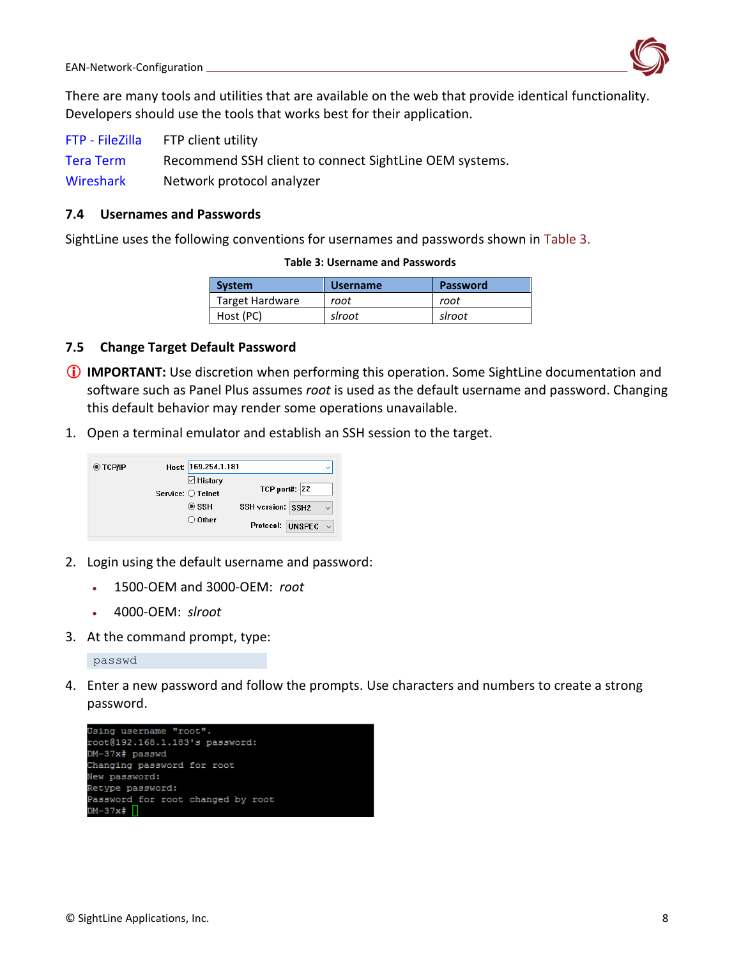

There are many tools and utilities that are available on the web that provide identical functionality. Developers should use the tools that works best for their application.

| FTP - FileZilla  | FTP client utility                                     |
|------------------|--------------------------------------------------------|
| <b>Tera Term</b> | Recommend SSH client to connect SightLine OEM systems. |
| Wireshark        | Network protocol analyzer                              |

#### <span id="page-8-0"></span>**7.4 Usernames and Passwords**

SightLine uses the following conventions for usernames and passwords shown in Table 3.

#### **Table 3: Username and Passwords**

| <b>System</b>   | <b>Username</b> | <b>Password</b> |
|-----------------|-----------------|-----------------|
| Target Hardware | root            | root            |
| Host (PC)       | slroot          | slroot          |

### <span id="page-8-1"></span>**7.5 Change Target Default Password**

- **IMPORTANT:** Use discretion when performing this operation. Some SightLine documentation and software such as Panel Plus assumes *root* is used as the default username and password. Changing this default behavior may render some operations unavailable.
- 1. Open a terminal emulator and establish an SSH session to the target.



- 2. Login using the default username and password:
	- 1500-OEM and 3000-OEM: *root*
	- 4000-OEM: *slroot*
- 3. At the command prompt, type:

passwd

4. Enter a new password and follow the prompts. Use characters and numbers to create a strong password.

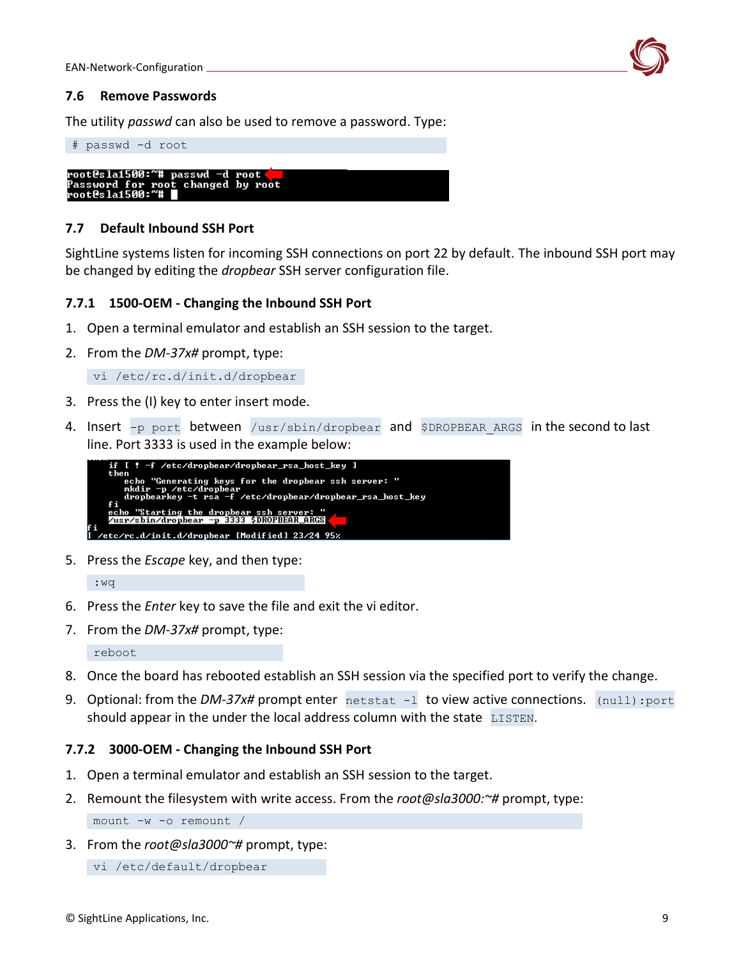

#### <span id="page-9-0"></span>**7.6 Remove Passwords**

The utility *passwd* can also be used to remove a password. Type:



### <span id="page-9-1"></span>**7.7 Default Inbound SSH Port**

SightLine systems listen for incoming SSH connections on port 22 by default. The inbound SSH port may be changed by editing the *dropbear* SSH server configuration file.

### <span id="page-9-2"></span>**7.7.1 1500-OEM - Changing the Inbound SSH Port**

- 1. Open a terminal emulator and establish an SSH session to the target.
- 2. From the *DM-37x#* prompt, type:

vi /etc/rc.d/init.d/dropbear

- 3. Press the (I) key to enter insert mode.
- 4. Insert -p port between /usr/sbin/dropbear and \$DROPBEAR ARGS in the second to last line. Port 3333 is used in the example below:



5. Press the *Escape* key, and then type:

:wq

- 6. Press the *Enter* key to save the file and exit the vi editor.
- 7. From the *DM-37x#* prompt, type:

```
reboot
```
- 8. Once the board has rebooted establish an SSH session via the specified port to verify the change.
- 9. Optional: from the *DM-37x#* prompt enter netstat -1 to view active connections. (null): port should appear in the under the local address column with the state LISTEN.

### <span id="page-9-3"></span>**7.7.2 3000-OEM - Changing the Inbound SSH Port**

- 1. Open a terminal emulator and establish an SSH session to the target.
- 2. Remount the filesystem with write access. From the *root@sla3000:~#* prompt, type:

mount -w -o remount /

3. From the *root@sla3000~#* prompt, type:

```
vi /etc/default/dropbear
```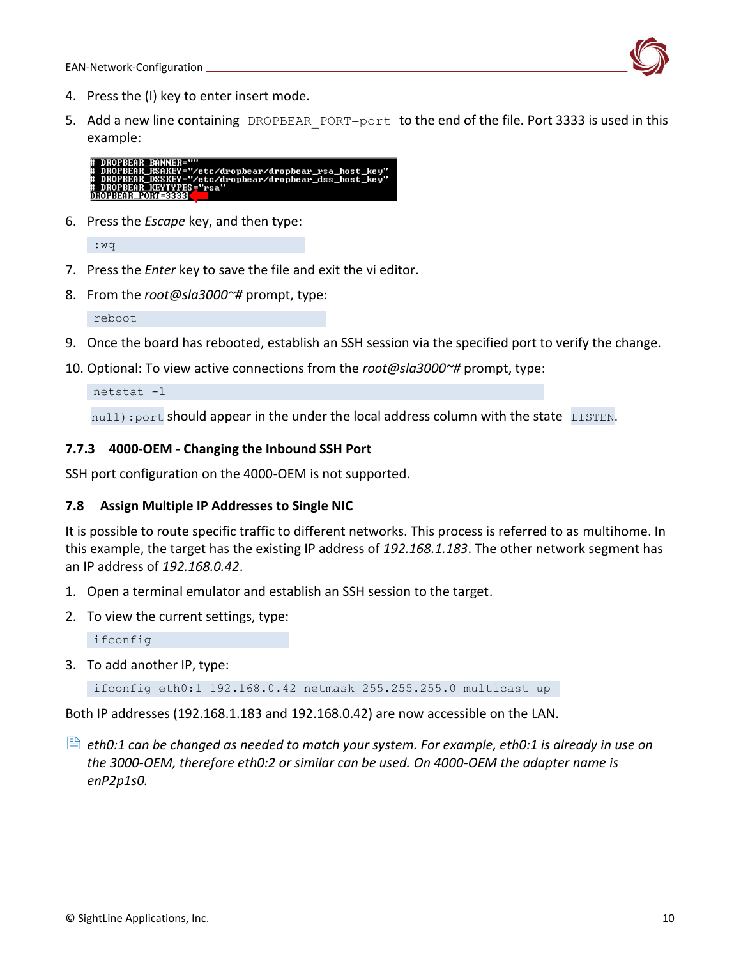

- 4. Press the (I) key to enter insert mode.
- 5. Add a new line containing DROPBEAR PORT=port to the end of the file. Port 3333 is used in this example:



6. Press the *Escape* key, and then type:

:wq

- 7. Press the *Enter* key to save the file and exit the vi editor.
- 8. From the *root@sla3000~#* prompt, type:

reboot

- 9. Once the board has rebooted, establish an SSH session via the specified port to verify the change.
- 10. Optional: To view active connections from the *root@sla3000~#* prompt, type:

netstat -l

null): port should appear in the under the local address column with the state LISTEN.

# <span id="page-10-0"></span>**7.7.3 4000-OEM - Changing the Inbound SSH Port**

SSH port configuration on the 4000-OEM is not supported.

### <span id="page-10-1"></span>**7.8 Assign Multiple IP Addresses to Single NIC**

It is possible to route specific traffic to different networks. This process is referred to as multihome. In this example, the target has the existing IP address of *192.168.1.183*. The other network segment has an IP address of *192.168.0.42*.

- 1. Open a terminal emulator and establish an SSH session to the target.
- 2. To view the current settings, type:

ifconfig

3. To add another IP, type:

ifconfig eth0:1 192.168.0.42 netmask 255.255.255.0 multicast up

Both IP addresses (192.168.1.183 and 192.168.0.42) are now accessible on the LAN.

 *eth0:1 can be changed as needed to match your system. For example, eth0:1 is already in use on the 3000-OEM, therefore eth0:2 or similar can be used. On 4000-OEM the adapter name is enP2p1s0.*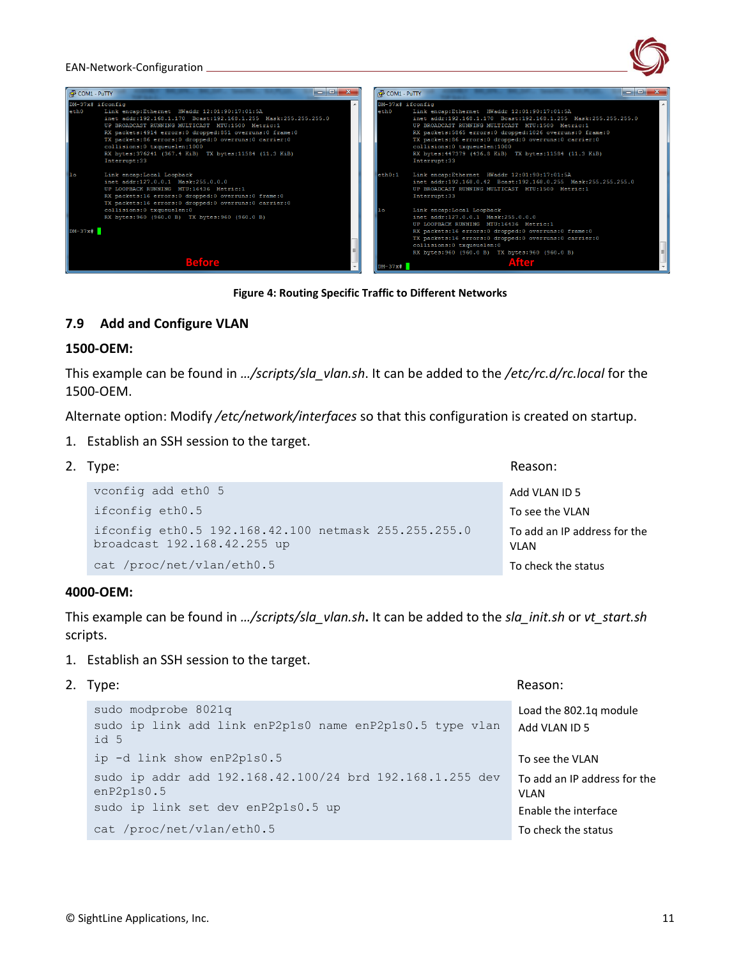

**Figure 4: Routing Specific Traffic to Different Networks**

#### <span id="page-11-0"></span>**7.9 Add and Configure VLAN**

#### **1500-OEM:**

This example can be found in *…/scripts/sla\_vlan.sh*. It can be added to the */etc/rc.d/rc.local* for the 1500-OEM.

Alternate option: Modify */etc/network/interfaces* so that this configuration is created on startup.

1. Establish an SSH session to the target.

| 2. Type:                                                                            | Reason:                                     |
|-------------------------------------------------------------------------------------|---------------------------------------------|
| vconfig add eth0 5                                                                  | Add VLAN ID 5                               |
| ifconfig eth0.5                                                                     | To see the VLAN                             |
| ifconfig eth0.5 192.168.42.100 netmask 255.255.255.0<br>broadcast 192.168.42.255 up | To add an IP address for the<br><b>VLAN</b> |
| cat /proc/net/vlan/eth0.5                                                           | To check the status                         |

#### **4000-OEM:**

This example can be found in *…/scripts/sla\_vlan.sh***.** It can be added to the *sla\_init.sh* or *vt\_start.sh* scripts.

- 1. Establish an SSH session to the target.
- 2. Type: Reason:

```
sudo modprobe 8021q
sudo ip link add link enP2p1s0 name enP2p1s0.5 type vlan 
id 5 
                                                       Load the 802.1q module
                                                       Add VLAN ID 5
ip -d link show enP2p1s0.5 To see the VLAN
sudo ip addr add 192.168.42.100/24 brd 192.168.1.255 dev 
enP2p1s0.5
sudo ip link set dev enP2p1s0.5 up
                                                       To add an IP address for the 
                                                       VLAN
                                                       Enable the interface
cat /proc/net/vlan/eth0.5 To check the status
```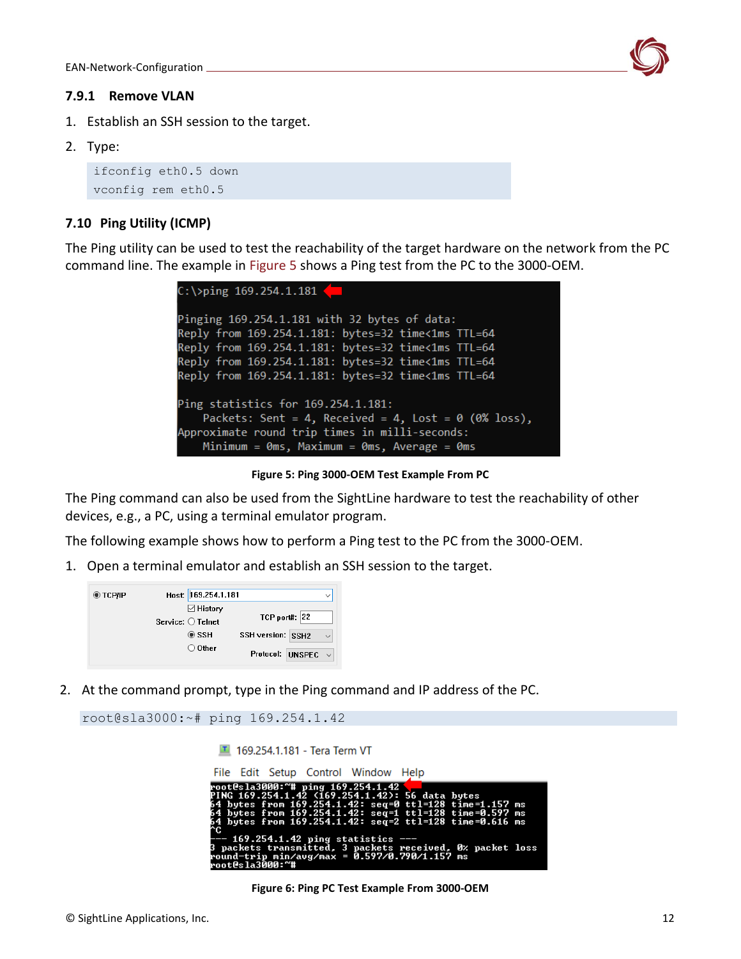

#### <span id="page-12-0"></span>**7.9.1 Remove VLAN**

- 1. Establish an SSH session to the target.
- 2. Type:

```
ifconfig eth0.5 down 
vconfig rem eth0.5
```
# <span id="page-12-1"></span>**7.10 Ping Utility (ICMP)**

The Ping utility can be used to test the reachability of the target hardware on the network from the PC command line. The example in Figure 5 shows a Ping test from the PC to the 3000-OEM.

```
C:\ >ping 169.254.1.181
Pinging 169.254.1.181 with 32 bytes of data:
Reply from 169.254.1.181: bytes=32 time<1ms TTL=64
Reply from 169.254.1.181: bytes=32 time<1ms TTL=64
Reply from 169.254.1.181: bytes=32 time<1ms TTL=64
Reply from 169.254.1.181: bytes=32 time<1ms TTL=64
Ping statistics for 169.254.1.181:
    Packets: Sent = 4, Received = 4, Lost = 0 (0% loss),
Approximate round trip times in milli-seconds:
   Minimum = \thetams, Maximum = \thetams, Average = \thetams
```
**Figure 5: Ping 3000-OEM Test Example From PC**

The Ping command can also be used from the SightLine hardware to test the reachability of other devices, e.g., a PC, using a terminal emulator program.

The following example shows how to perform a Ping test to the PC from the 3000-OEM.

1. Open a terminal emulator and establish an SSH session to the target.

| ◉ тсрир | Host: 169.254.1.181        | $\checkmark$                      |
|---------|----------------------------|-----------------------------------|
|         | $\boxdot$ History          |                                   |
|         | Service: $\bigcirc$ Telnet | $TCP$ port#: 22                   |
|         | $\circ$ ssh                | SSH version: SSH2<br>$\checkmark$ |
|         | $\bigcirc$ Other           | Protocol: UNSPEC                  |

2. At the command prompt, type in the Ping command and IP address of the PC.

```
root@sla3000:~# ping 169.254.1.42
                    169.254.1.181 - Tera Term VT
```

| File Edit Setup Control Window Help                                                                                                                                                                                                                                         |  |
|-----------------------------------------------------------------------------------------------------------------------------------------------------------------------------------------------------------------------------------------------------------------------------|--|
| root@sla3000:~# ping 169.254.1.42<br>PING 169.254.1.42 (169.254.1.42): 56 data bytes<br>64 bytes from 169.254.1.42: seq=0 ttl=128 time=1.157 ms<br>64 bytes from 169.254.1.42: seg=1 ttl=128 time=0.597 ms<br>64 bytes from 169.254.1.42: seq=2 ttl=128 time=0.616 ms<br>^Ը |  |
| --- 169.254.1.42 ping statistics ---<br>3 packets transmitted, 3 packets received, 0% packet loss<br>round—trip min/avg/max = 0.597/0.790/1.157 ms<br>root@sla3000:~#                                                                                                       |  |

**Figure 6: Ping PC Test Example From 3000-OEM**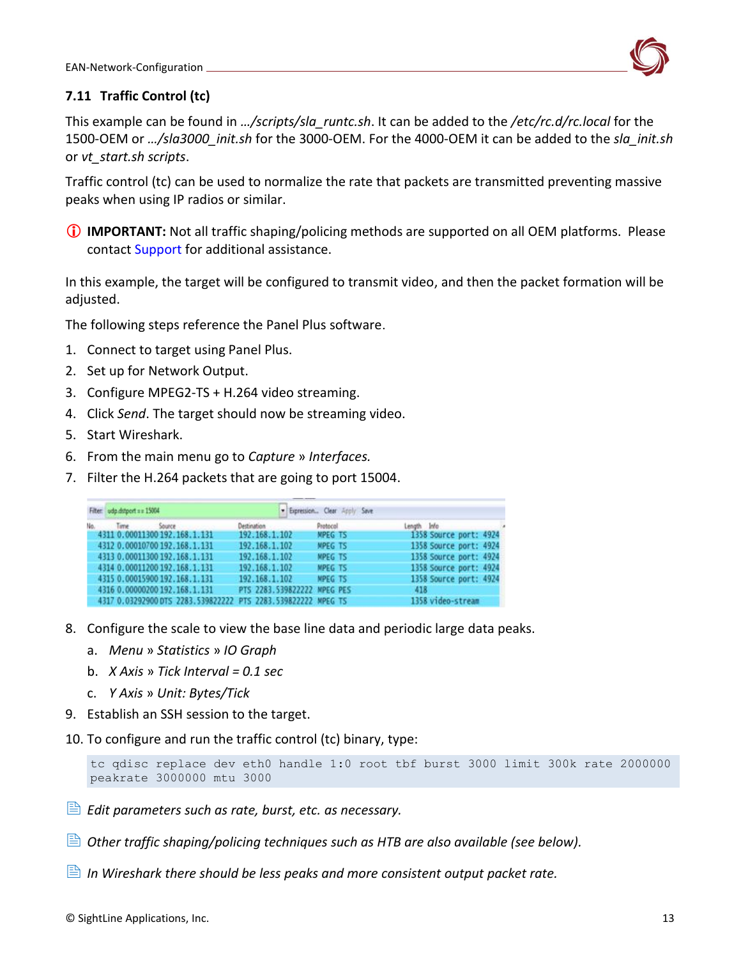

# <span id="page-13-0"></span>**7.11 Traffic Control (tc)**

This example can be found in *…/scripts/sla\_runtc.sh*. It can be added to the */etc/rc.d/rc.local* for the 1500-OEM or *…/sla3000\_init.sh* for the 3000-OEM. For the 4000-OEM it can be added to the *sla\_init.sh* or *vt\_start.sh scripts*.

Traffic control (tc) can be used to normalize the rate that packets are transmitted preventing massive peaks when using IP radios or similar.

**IMPORTANT:** Not all traffic shaping/policing methods are supported on all OEM platforms. Please contact [Support](mailto:support@sightlineapplications.com) for additional assistance.

In this example, the target will be configured to transmit video, and then the packet formation will be adjusted.

The following steps reference the Panel Plus software.

- 1. Connect to target using Panel Plus.
- 2. Set up for Network Output.
- 3. Configure MPEG2-TS + H.264 video streaming.
- 4. Click *Send*. The target should now be streaming video.
- 5. Start Wireshark.
- 6. From the main menu go to *Capture* » *Interfaces.*
- 7. Filter the H.264 packets that are going to port 15004.

|     | Filter udp.dstport == 15004                                                                    |                                | · Expression Clear Apply Save |                                                  |  |
|-----|------------------------------------------------------------------------------------------------|--------------------------------|-------------------------------|--------------------------------------------------|--|
| No. | Source<br>Time<br>4311 0.00011300 192.168.1.131                                                | Destination<br>192.168.1.102   | Protocol<br><b>MPEG TS</b>    | Length Info<br>1358 Source port: 4924            |  |
|     | 4312 0.00010700 192.168.1.131                                                                  | 192.168.1.102                  | MPEG TS                       | 1358 Source port: 4924                           |  |
|     | 4313 0.00011300 192.168.1.131<br>4314 0.00011200 192.168.1.131                                 | 192.168.1.102<br>192.168.1.102 | <b>MPEG TS</b><br>MPEG TS     | 1358 Source port: 4924<br>1358 Source port: 4924 |  |
|     | 4315 0.00015900 192.168.1.131                                                                  | 192.168.1.102                  | <b>MPEG TS</b>                | 1358 Source port: 4924                           |  |
|     | 4316 0.00000200 192.168.1.131<br>4317 0.03292900 DTS 2283.539822222 PTS 2283.539822222 MPEG TS | PTS 2283.539822222 MPEG PES    |                               | 418<br>1358 video-stream                         |  |

- 8. Configure the scale to view the base line data and periodic large data peaks.
	- a. *Menu* » *Statistics* » *IO Graph*
	- b. *X Axis* » *Tick Interval = 0.1 sec*
	- c. *Y Axis* » *Unit: Bytes/Tick*
- 9. Establish an SSH session to the target.
- 10. To configure and run the traffic control (tc) binary, type:

```
tc qdisc replace dev eth0 handle 1:0 root tbf burst 3000 limit 300k rate 2000000 
peakrate 3000000 mtu 3000
```
- *Edit parameters such as rate, burst, etc. as necessary.*
- *Other traffic shaping/policing techniques such as HTB are also available (see below).*
- *In Wireshark there should be less peaks and more consistent output packet rate.*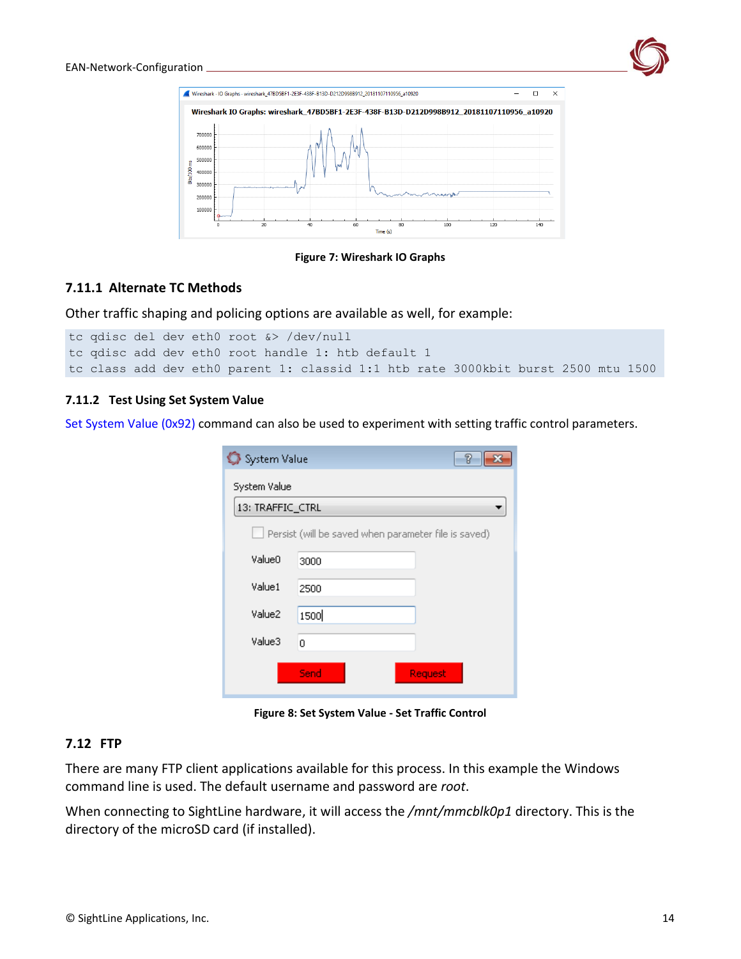



**Figure 7: Wireshark IO Graphs**

#### <span id="page-14-0"></span>**7.11.1 Alternate TC Methods**

Other traffic shaping and policing options are available as well, for example:

```
tc qdisc del dev eth0 root &> /dev/null
tc qdisc add dev eth0 root handle 1: htb default 1
tc class add dev eth0 parent 1: classid 1:1 htb rate 3000kbit burst 2500 mtu 1500
```
#### <span id="page-14-1"></span>**7.11.2 Test Using Set System Value**

[Set System Value \(0x92\)](https://sightlineapplications.com/releases/IDD/3_01/struct_s_l_a_set_system_value__t.html) command can also be used to experiment with setting traffic control parameters.

| System Value<br>7 |                                                      |  |  |  |  |  |  |  |  |
|-------------------|------------------------------------------------------|--|--|--|--|--|--|--|--|
| System Value      |                                                      |  |  |  |  |  |  |  |  |
| 13: TRAFFIC_CTRL  |                                                      |  |  |  |  |  |  |  |  |
|                   | Persist (will be saved when parameter file is saved) |  |  |  |  |  |  |  |  |
| Value0            | 3000                                                 |  |  |  |  |  |  |  |  |
| Value1            | 2500                                                 |  |  |  |  |  |  |  |  |
| Value2            | 1500                                                 |  |  |  |  |  |  |  |  |
| Value3            | 0                                                    |  |  |  |  |  |  |  |  |
|                   | Send<br>Request                                      |  |  |  |  |  |  |  |  |

**Figure 8: Set System Value - Set Traffic Control**

#### <span id="page-14-2"></span>**7.12 FTP**

There are many FTP client applications available for this process. In this example the Windows command line is used. The default username and password are *root*.

When connecting to SightLine hardware, it will access the */mnt/mmcblk0p1* directory. This is the directory of the microSD card (if installed).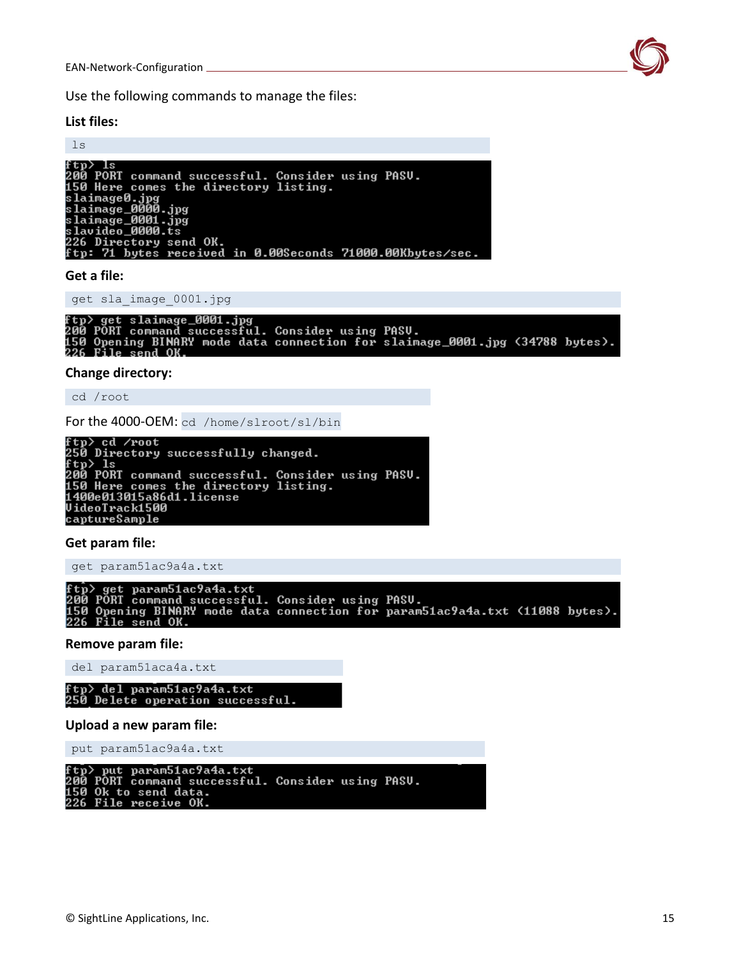Use the following commands to manage the files:

#### **List files:**

#### ls

```
ftp> ls<br>200 PORT command successful. Consider using PASU.<br>150 Here comes the directory listing.<br>slaimage0.jpg
slaimage0.jpg<br>slaimage0.jpg<br>slaimage_0000.jpg<br>slaimage_0000.jpg<br>slavideo_0000.ts<br>226 Directory send OK.<br>ftp: 71 bytes received in 0.00Seconds 71000.00Kbytes/sec.
```
#### **Get a file:**

get sla\_image\_0001.jpg

```
ftp> get slaimage_0001.jpg<br>200 PORT command successful. Consider using PASU.<br>150 Opening BINARY mode data connection for slaimage_0001.jpg <34788 bytes>.<br>226 File send OK.
```
#### **Change directory:**

cd /root

```
For the 4000-OEM: cd /home/slroot/sl/bin<br>ftp> cd /root<br>250 Directory successfully changed.<br>Ftp> ls<br>200 PORT command successful. Consider using PASU.<br>150 Here comes the directory listing.<br>1400e013015a86d1.license<br>cantumeSam
 captureSample
```
#### **Get param file:**

get param51ac9a4a.txt

ftp> get param51ac9a4a.txt<br>200 PORT command successful. Consider using PASU.<br>150 Opening BINARY mode data connection for param51ac9a4a.txt <11088 bytes>.<br>226 File send OK.

#### **Remove param file:**

del param51aca4a.txt

tp> del param51ac9a4a.txt 250 Delete operation successful.

#### **Upload a new param file:**

put param51ac9a4a.txt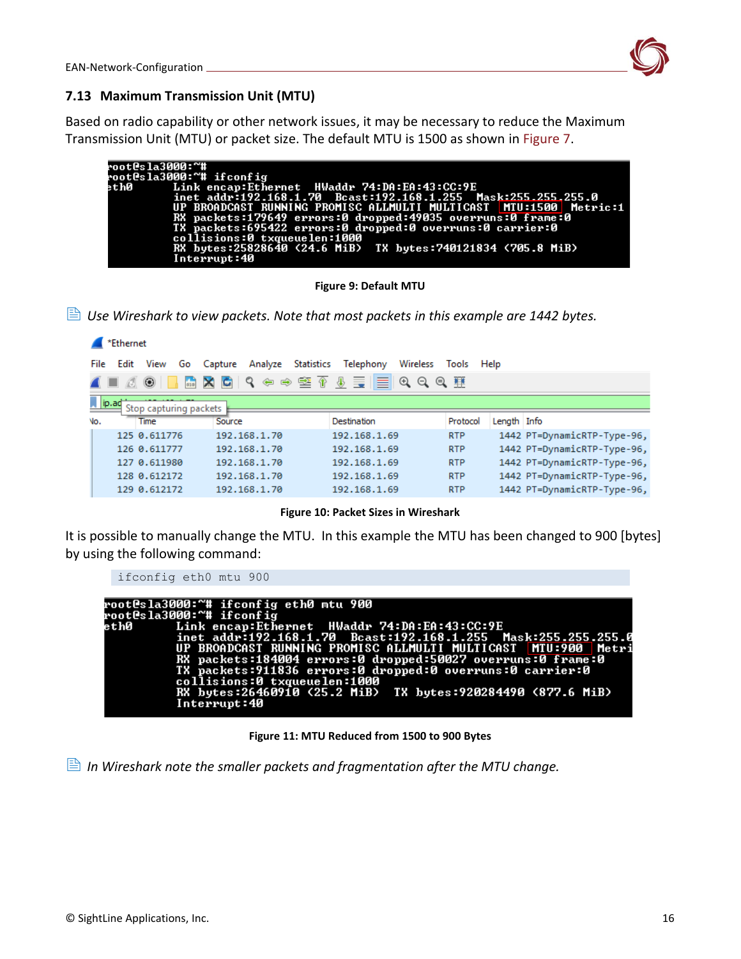

#### <span id="page-16-0"></span>**7.13 Maximum Transmission Unit (MTU)**

Based on radio capability or other network issues, it may be necessary to reduce the Maximum Transmission Unit (MTU) or packet size. The default MTU is 1500 as shown in Figure 7.

| root@sla3000:~# |                                                                   |
|-----------------|-------------------------------------------------------------------|
|                 | root@sla3000:~# ifconfig                                          |
|                 | eth0         Link encap:Ethernet  HWaddr 74:DA:EA:43:CC:9E        |
|                 | inet addr:192.168.1.70 Bcast:192.168.1.255 Mask:255.255.255.0     |
|                 | UP BROADCAST RUNNING PROMISC ALLMULTI MULTICAST NTU:1500 Metric:1 |
|                 | RX packets:179649 errors:0 dropped:49035 overruns:0 frame:0       |
|                 | TX packets:695422 errors:0 dropped:0 overruns:0 carrier:0         |
|                 | collisions:0 txqueuelen:1000                                      |
|                 | RX bytes:25828640 <24.6 MiB> TX bytes:740121834 <705.8 MiB>       |
|                 | Interrupt:40                                                      |
|                 |                                                                   |

**Figure 9: Default MTU**

*Use Wireshark to view packets. Note that most packets in this example are 1442 bytes.*

|      | *Ethernet                               |              |    |        |              |  |                                      |          |            |             |                             |
|------|-----------------------------------------|--------------|----|--------|--------------|--|--------------------------------------|----------|------------|-------------|-----------------------------|
| File | Edit                                    | View         | Go |        |              |  | Capture Analyze Statistics Telephony | Wireless | Tools Help |             |                             |
|      |                                         | ۷            |    |        |              |  | KKKKKS SO DE TO DE TO DE T           |          |            |             |                             |
|      | $\Box$ ip. ad<br>Stop capturing packets |              |    |        |              |  |                                      |          |            |             |                             |
| No.  |                                         | Time         |    | Source |              |  | Destination                          |          | Protocol   | Length Info |                             |
|      |                                         | 125 0.611776 |    |        | 192.168.1.70 |  | 192.168.1.69                         |          | <b>RTP</b> |             | 1442 PT=DynamicRTP-Type-96, |
|      |                                         | 126 0.611777 |    |        | 192.168.1.70 |  | 192.168.1.69                         |          | <b>RTP</b> |             | 1442 PT=DynamicRTP-Type-96, |
|      |                                         | 127 0.611980 |    |        | 192.168.1.70 |  | 192.168.1.69                         |          | <b>RTP</b> |             | 1442 PT=DynamicRTP-Type-96, |
|      |                                         | 128 0.612172 |    |        | 192.168.1.70 |  | 192.168.1.69                         |          | <b>RTP</b> |             | 1442 PT=DynamicRTP-Type-96, |
|      |                                         | 129 0.612172 |    |        | 192.168.1.70 |  | 192.168.1.69                         |          | <b>RTP</b> |             | 1442 PT=DynamicRTP-Type-96, |

**Figure 10: Packet Sizes in Wireshark**

It is possible to manually change the MTU. In this example the MTU has been changed to 900 [bytes] by using the following command:

| ifconfig eth0 mtu 900                                                                                                                                                                                                                                                                                                                                                                              |
|----------------------------------------------------------------------------------------------------------------------------------------------------------------------------------------------------------------------------------------------------------------------------------------------------------------------------------------------------------------------------------------------------|
| rootCsla3000:~# ifconfig eth0 mtu 900<br>root@sla3000:~# ifconfig<br>eth0         Link encap:Ethernet  HWaddr 74:DA:EA:43:CC:9E<br>inet addr:192.168.1.70 Bcast:192.168.1.255 Mask:255.255.255.0<br>UP BROADCAST RUNNING PROMISC ALLMULTI MULTICAST MTU:900 Metri<br>RX packets:184004 errors:0 dropped:50027 overruns:0 frame:0<br>TX packets: 911836 errors: 0 dropped: 0 overruns: 0 carrier: 0 |
| collisions:0 txqueuelen:1000<br>RX bytes:26460910 <25.2 MiB> TX bytes:920284490 <877.6 MiB><br>Interrupt:40                                                                                                                                                                                                                                                                                        |

**Figure 11: MTU Reduced from 1500 to 900 Bytes**

*In Wireshark note the smaller packets and fragmentation after the MTU change.*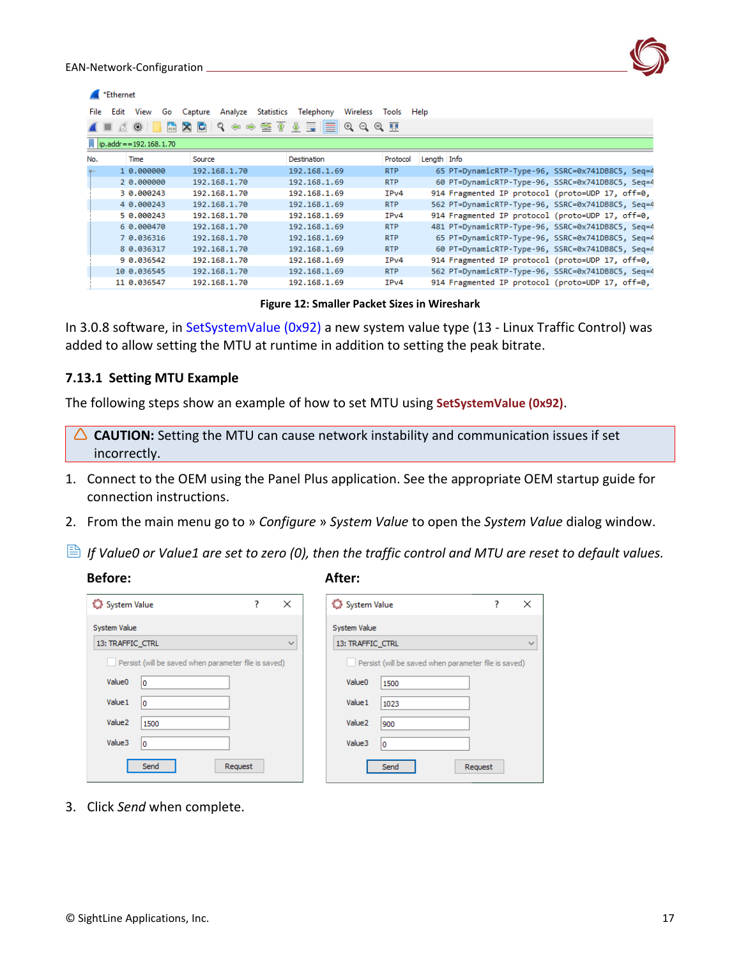| *Ethernet                     |                          |                                  |                                  |             |                                                   |  |  |  |  |  |
|-------------------------------|--------------------------|----------------------------------|----------------------------------|-------------|---------------------------------------------------|--|--|--|--|--|
| <b>File</b><br>Edit<br>View   | Capture<br>Go<br>Analyze | Statistics Telephony             | Wireless Tools Help              |             |                                                   |  |  |  |  |  |
| ۳                             | ९                        | $\circledast$ = III<br>堅金<br>⇔ ⊜ | $\Theta$ $\Theta$ $\blacksquare$ |             |                                                   |  |  |  |  |  |
| $\ $ ip.addr = = 192.168.1.70 |                          |                                  |                                  |             |                                                   |  |  |  |  |  |
| No.<br>Time                   | Source                   | Destination                      | Protocol                         | Length Info |                                                   |  |  |  |  |  |
| 1 0.000000                    | 192.168.1.70             | 192.168.1.69                     | <b>RTP</b>                       |             | 65 PT=DynamicRTP-Type-96, SSRC=0x741DB8C5, Seq=4  |  |  |  |  |  |
| 2 0.000000                    | 192.168.1.70             | 192.168.1.69                     | <b>RTP</b>                       |             | 60 PT=DynamicRTP-Type-96, SSRC=0x741DB8C5, Seq=4  |  |  |  |  |  |
| 3 0.000243                    | 192.168.1.70             | 192.168.1.69                     | IP <sub>v4</sub>                 |             | 914 Fragmented IP protocol (proto=UDP 17, off=0,  |  |  |  |  |  |
| 4 0.000243                    | 192.168.1.70             | 192.168.1.69                     | <b>RTP</b>                       |             | 562 PT=DynamicRTP-Type-96, SSRC=0x741DB8C5, Seq=4 |  |  |  |  |  |
| 5 0.000243                    | 192.168.1.70             | 192.168.1.69                     | IP <sub>v4</sub>                 |             | 914 Fragmented IP protocol (proto=UDP 17, off=0,  |  |  |  |  |  |
| 6 0.000470                    | 192.168.1.70             | 192.168.1.69                     | <b>RTP</b>                       |             | 481 PT=DynamicRTP-Type-96, SSRC=0x741DB8C5, Seq=4 |  |  |  |  |  |
| 7 0.036316                    | 192.168.1.70             | 192.168.1.69                     | <b>RTP</b>                       |             | 65 PT=DynamicRTP-Type-96, SSRC=0x741DB8C5, Seq=4  |  |  |  |  |  |
| 8 0.036317                    | 192.168.1.70             | 192.168.1.69                     | <b>RTP</b>                       |             | 60 PT=DynamicRTP-Type-96, SSRC=0x741DB8C5, Seq=4  |  |  |  |  |  |
| 9 0.036542                    | 192.168.1.70             | 192.168.1.69                     | IP <sub>v4</sub>                 |             | 914 Fragmented IP protocol (proto=UDP 17, off=0,  |  |  |  |  |  |
| 10 0.036545                   | 192.168.1.70             | 192.168.1.69                     | <b>RTP</b>                       |             | 562 PT=DynamicRTP-Type-96, SSRC=0x741DB8C5, Seq=4 |  |  |  |  |  |
| 11 0.036547                   | 192.168.1.70             | 192.168.1.69                     | IP <sub>v4</sub>                 |             | 914 Fragmented IP protocol (proto=UDP 17, off=0,  |  |  |  |  |  |
|                               |                          |                                  |                                  |             |                                                   |  |  |  |  |  |

**Figure 12: Smaller Packet Sizes in Wireshark**

In 3.0.8 software, in [SetSystemValue \(0x92\)](https://sightlineapplications.com/releases/IDD/3_00/struct_s_l_a_set_system_value__t.html) a new system value type (13 - Linux Traffic Control) was added to allow setting the MTU at runtime in addition to setting the peak bitrate.

#### <span id="page-17-0"></span>**7.13.1 Setting MTU Example**

The following steps show an example of how to set MTU using **SetSystemValue (0x92)**.

- △ **CAUTION:** Setting the MTU can cause network instability and communication issues if set incorrectly.
- 1. Connect to the OEM using the Panel Plus application. See the appropriate OEM startup guide for connection instructions.
- 2. From the main menu go to » *Configure* » *System Value* to open the *System Value* dialog window.
- *If Value0 or Value1 are set to zero (0), then the traffic control and MTU are reset to default values.*

#### **Before:** After:

| System Value<br>7<br>×                               |                 |  |  |  |  |  |  |  |  |
|------------------------------------------------------|-----------------|--|--|--|--|--|--|--|--|
| <b>System Value</b>                                  |                 |  |  |  |  |  |  |  |  |
| 13: TRAFFIC_CTRL                                     |                 |  |  |  |  |  |  |  |  |
| Persist (will be saved when parameter file is saved) |                 |  |  |  |  |  |  |  |  |
| Value <sub>0</sub>                                   | 0               |  |  |  |  |  |  |  |  |
| Value 1                                              | 0               |  |  |  |  |  |  |  |  |
| Value <sub>2</sub>                                   | 1500            |  |  |  |  |  |  |  |  |
| Value3                                               | 0               |  |  |  |  |  |  |  |  |
|                                                      | Send<br>Request |  |  |  |  |  |  |  |  |

| System Value       |                                                      | 7 | × |
|--------------------|------------------------------------------------------|---|---|
| System Value       |                                                      |   |   |
| 13: TRAFFIC CTRL   |                                                      |   |   |
|                    | Persist (will be saved when parameter file is saved) |   |   |
| Value <sub>0</sub> | 1500                                                 |   |   |
| Value 1            | 1023                                                 |   |   |
| Value <sub>2</sub> | 900                                                  |   |   |
| Value3             | 0                                                    |   |   |
|                    | Send<br>Request                                      |   |   |

3. Click *Send* when complete.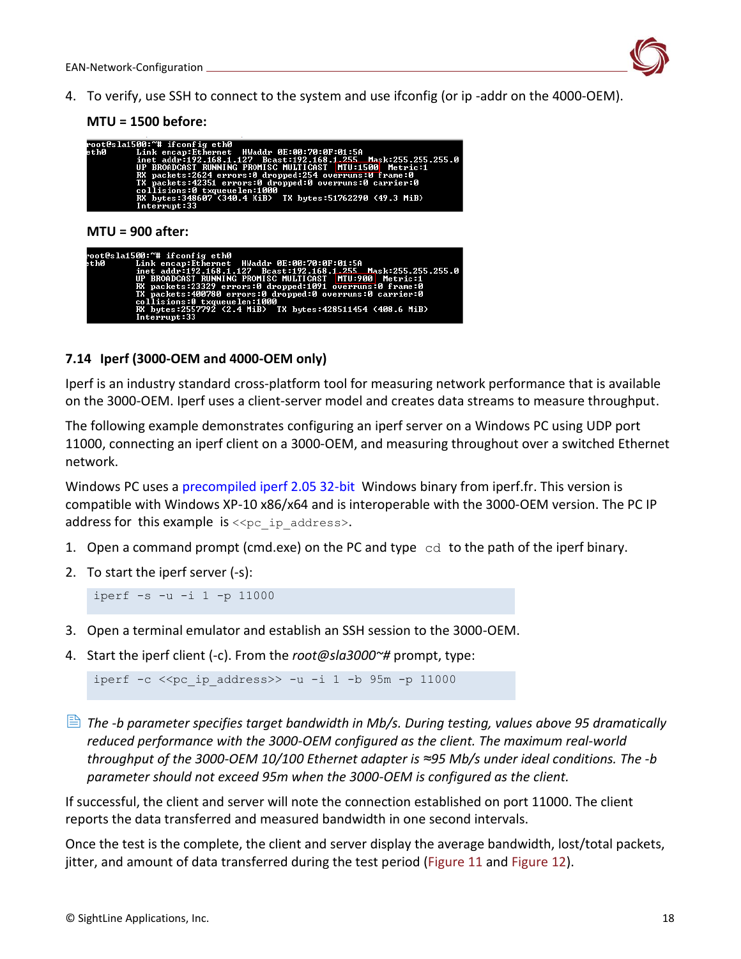

4. To verify, use SSH to connect to the system and use ifconfig (or ip -addr on the 4000-OEM).

**MTU = 1500 before:**

|      | root@sla1500:~# ifconfig eth0<br>eth0 Link encap:Ethernet HWaddr 0E:00:70:0F:01:5A<br>inet addr:192.168.1.127 Bcast:192.168.1.255 Mask:255.255.255.0<br>UP BROADCAST RUNNING PROMISC MULTICAST   MTU:1500   Metric:1<br>RX packets:2624 errors:0 dropped:254 overruns:0 frame:0<br>TX packets:42351 errors:0 dropped:0 overruns:0 carrier:0<br>collisions:0 txqueuelen:1000<br>RX bytes:348607 (340.4 KiB) TX bytes:51762290 (49.3 MiB)<br>Interrupt:33 |  |  |  |  |  |  |  |
|------|---------------------------------------------------------------------------------------------------------------------------------------------------------------------------------------------------------------------------------------------------------------------------------------------------------------------------------------------------------------------------------------------------------------------------------------------------------|--|--|--|--|--|--|--|
|      | $MTU = 900$ after:                                                                                                                                                                                                                                                                                                                                                                                                                                      |  |  |  |  |  |  |  |
| ethØ | root@sla1500:~# ifconfig eth0<br>Link encap:Ethernet HWaddr 0E:00:70:0F:01:5A<br>inet addr:192.168.1.127 Bcast:192.168.1.255 Mask:255.255.255.0<br>UP BROADCAST RUNNING PROMISC MULTICAST MTU:900 Metric:1<br>RX packets:23329 errors:0 dropped:1091 overruns:0 frame:0<br>TX packets:400780 errors:0 dropped:0 overruns:0 carrier:0<br>collisions:0 txqueuelen:1000<br>RX bytes:2557792 (2.4 MiB) IX bytes:428511454 (408.6 MiB)<br>Interrupt:33       |  |  |  |  |  |  |  |

# <span id="page-18-0"></span>**7.14 Iperf (3000-OEM and 4000-OEM only)**

Iperf is an industry standard cross-platform tool for measuring network performance that is available on the 3000-OEM. Iperf uses a client-server model and creates data streams to measure throughput.

The following example demonstrates configuring an iperf server on a Windows PC using UDP port 11000, connecting an iperf client on a 3000-OEM, and measuring throughout over a switched Ethernet network.

Windows PC uses a [precompiled iperf 2.05 32-bit](https://iperf.fr/download/windows/iperf-2.0.5-win32.zip) Windows binary from iperf.fr. This version is compatible with Windows XP-10 x86/x64 and is interoperable with the 3000-OEM version. The PC IP address for this example is  $\langle \langle p \rangle$  ip address>.

- 1. Open a command prompt (cmd.exe) on the PC and type  $\text{cd}$  to the path of the iperf binary.
- 2. To start the iperf server (-s):

```
iperf -s -u -i 1 -p 11000
```
- 3. Open a terminal emulator and establish an SSH session to the 3000-OEM.
- 4. Start the iperf client (-c). From the *root@sla3000~#* prompt, type:

iperf  $-c$  << pc ip address>> -u -i 1 -b 95m -p 11000

 *The -b parameter specifies target bandwidth in Mb/s. During testing, values above 95 dramatically reduced performance with the 3000-OEM configured as the client. The maximum real-world throughput of the 3000-OEM 10/100 Ethernet adapter is ≈95 Mb/s under ideal conditions. The -b parameter should not exceed 95m when the 3000-OEM is configured as the client.*

If successful, the client and server will note the connection established on port 11000. The client reports the data transferred and measured bandwidth in one second intervals.

Once the test is the complete, the client and server display the average bandwidth, lost/total packets, jitter, and amount of data transferred during the test period (Figure 11 and Figure 12).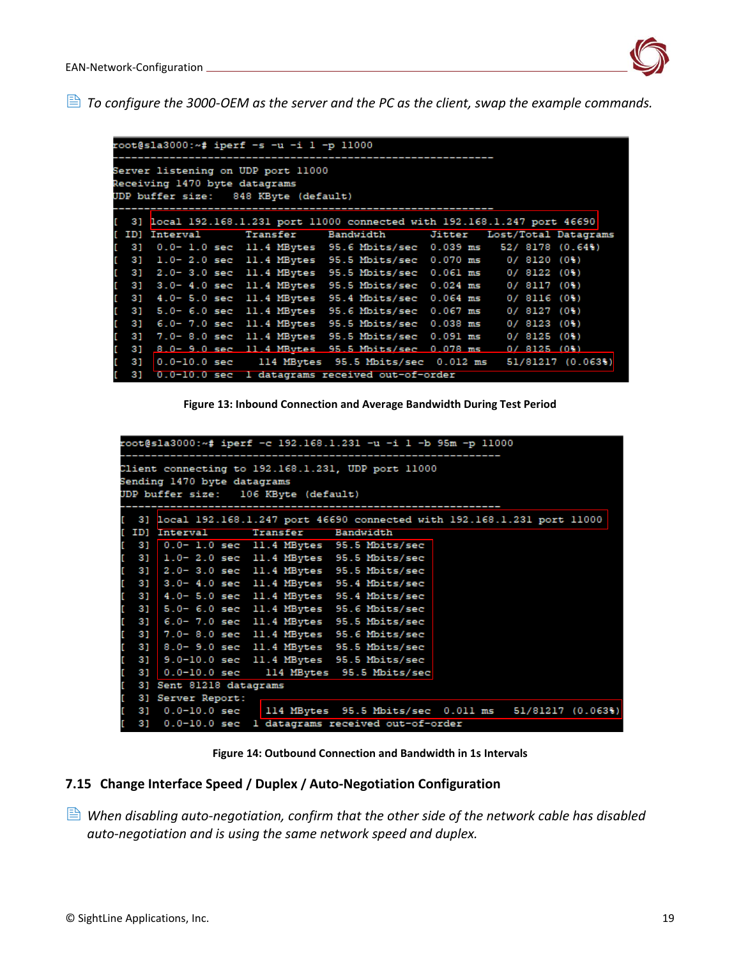

*To configure the 3000-OEM as the server and the PC as the client, swap the example commands.*

| root@sla3000:~# iperf -s -u -i l -p 11000                                   |  |                                                                      |  |  |  |  |  |  |  |            |  |
|-----------------------------------------------------------------------------|--|----------------------------------------------------------------------|--|--|--|--|--|--|--|------------|--|
| Server listening on UDP port 11000                                          |  |                                                                      |  |  |  |  |  |  |  |            |  |
| Receiving 1470 byte datagrams                                               |  |                                                                      |  |  |  |  |  |  |  |            |  |
| UDP buffer size: 848 KByte (default)                                        |  |                                                                      |  |  |  |  |  |  |  |            |  |
| [ 3] local 192.168.1.231 port 11000 connected with 192.168.1.247 port 46690 |  |                                                                      |  |  |  |  |  |  |  |            |  |
|                                                                             |  | [ ID] Interval Transfer Bandwidth Jitter Lost/Total Datagrams        |  |  |  |  |  |  |  |            |  |
|                                                                             |  | [ 3] 0.0-1.0 sec 11.4 MBytes 95.6 Mbits/sec 0.039 ms 52/8178 (0.64%) |  |  |  |  |  |  |  |            |  |
|                                                                             |  | [ 3] 1.0-2.0 sec 11.4 MBytes 95.5 Mbits/sec 0.070 ms 0/8120 (0%)     |  |  |  |  |  |  |  |            |  |
|                                                                             |  | [ 3] 2.0-3.0 sec 11.4 MBytes 95.5 Mbits/sec 0.061 ms 0/8122 (0%)     |  |  |  |  |  |  |  |            |  |
|                                                                             |  | [ 3] 3.0-4.0 sec 11.4 MBytes 95.5 Mbits/sec 0.024 ms 0/8117 (0%)     |  |  |  |  |  |  |  |            |  |
|                                                                             |  | [ 3] 4.0-5.0 sec 11.4 MBytes 95.4 Mbits/sec 0.064 ms 0/8116 (0%)     |  |  |  |  |  |  |  |            |  |
|                                                                             |  | [ 3] 5.0-6.0 sec 11.4 MBytes 95.6 Mbits/sec 0.067 ms 0/8127 (0%)     |  |  |  |  |  |  |  |            |  |
|                                                                             |  | [ 3] 6.0-7.0 sec 11.4 MBytes 95.5 Mbits/sec 0.038 ms                 |  |  |  |  |  |  |  | 0/8123(0%) |  |
|                                                                             |  | [ 3] 7.0-8.0 sec 11.4 MBytes 95.5 Mbits/sec 0.091 ms                 |  |  |  |  |  |  |  | 0/8125(0%) |  |
|                                                                             |  | [ 3] 8.0-9.0 sec 11.4 MBytes 95.5 Mbits/sec 0.078 ms 0/8125 (0%)     |  |  |  |  |  |  |  |            |  |
| $\begin{bmatrix} 3 \end{bmatrix}$                                           |  | 0.0-10.0 sec 114 MBytes 95.5 Mbits/sec 0.012 ms 51/81217 (0.063%)    |  |  |  |  |  |  |  |            |  |
|                                                                             |  | [ 3] 0.0-10.0 sec 1 datagrams received out-of-order                  |  |  |  |  |  |  |  |            |  |

**Figure 13: Inbound Connection and Average Bandwidth During Test Period**

| root@sla3000:~# iperf -c 192.168.1.231 -u -i 1 -b 95m -p 11000 |                                                                                                                           |                                   |  |                                                                             |  |  |  |  |  |
|----------------------------------------------------------------|---------------------------------------------------------------------------------------------------------------------------|-----------------------------------|--|-----------------------------------------------------------------------------|--|--|--|--|--|
|                                                                | Client connecting to 192.168.1.231, UDP port 11000<br>Sending 1470 byte datagrams<br>UDP buffer size: 106 KByte (default) |                                   |  |                                                                             |  |  |  |  |  |
|                                                                |                                                                                                                           |                                   |  | [ 3] local 192.168.1.247 port 46690 connected with 192.168.1.231 port 11000 |  |  |  |  |  |
|                                                                |                                                                                                                           | [ ID] Interval Transfer Bandwidth |  |                                                                             |  |  |  |  |  |
|                                                                |                                                                                                                           |                                   |  | [ 3] 0.0- 1.0 sec 11.4 MBytes 95.5 Mbits/sec                                |  |  |  |  |  |
|                                                                |                                                                                                                           |                                   |  | [ 3] 1.0-2.0 sec 11.4 MBytes 95.5 Mbits/sec                                 |  |  |  |  |  |
|                                                                |                                                                                                                           |                                   |  | [ 3] 2.0-3.0 sec 11.4 MBytes 95.5 Mbits/sec                                 |  |  |  |  |  |
|                                                                |                                                                                                                           |                                   |  | [ 3] 3.0-4.0 sec 11.4 MBytes 95.4 Mbits/sec                                 |  |  |  |  |  |
| E.                                                             |                                                                                                                           |                                   |  | 3] 4.0- 5.0 sec 11.4 MBytes 95.4 Mbits/sec                                  |  |  |  |  |  |
|                                                                |                                                                                                                           |                                   |  | [ 3] 5.0- 6.0 sec 11.4 MBytes 95.6 Mbits/sec                                |  |  |  |  |  |
|                                                                |                                                                                                                           |                                   |  | [ 3] 6.0-7.0 sec 11.4 MBytes 95.5 Mbits/sec                                 |  |  |  |  |  |
| t.                                                             |                                                                                                                           |                                   |  | 3] 7.0-8.0 sec 11.4 MBytes 95.6 Mbits/sec                                   |  |  |  |  |  |
| t.                                                             |                                                                                                                           |                                   |  | 3] 8.0-9.0 sec 11.4 MBytes 95.5 Mbits/sec                                   |  |  |  |  |  |
| t.                                                             |                                                                                                                           |                                   |  | 3] 9.0-10.0 sec 11.4 MBytes 95.5 Mbits/sec                                  |  |  |  |  |  |
| t.                                                             |                                                                                                                           |                                   |  | 3] 0.0-10.0 sec 114 MBytes 95.5 Mbits/sec                                   |  |  |  |  |  |
|                                                                |                                                                                                                           | [ 3] Sent 81218 datagrams         |  |                                                                             |  |  |  |  |  |
| r.                                                             |                                                                                                                           | 3] Server Report:                 |  |                                                                             |  |  |  |  |  |
| r.                                                             |                                                                                                                           |                                   |  | 3] 0.0-10.0 sec   114 MBytes 95.5 Mbits/sec 0.011 ms 51/81217 (0.063%)      |  |  |  |  |  |
| t.                                                             |                                                                                                                           |                                   |  | 3] 0.0-10.0 sec 1 datagrams received out-of-order                           |  |  |  |  |  |

**Figure 14: Outbound Connection and Bandwidth in 1s Intervals**

#### <span id="page-19-0"></span>**7.15 Change Interface Speed / Duplex / Auto-Negotiation Configuration**

 *When disabling auto-negotiation, confirm that the other side of the network cable has disabled auto-negotiation and is using the same network speed and duplex.*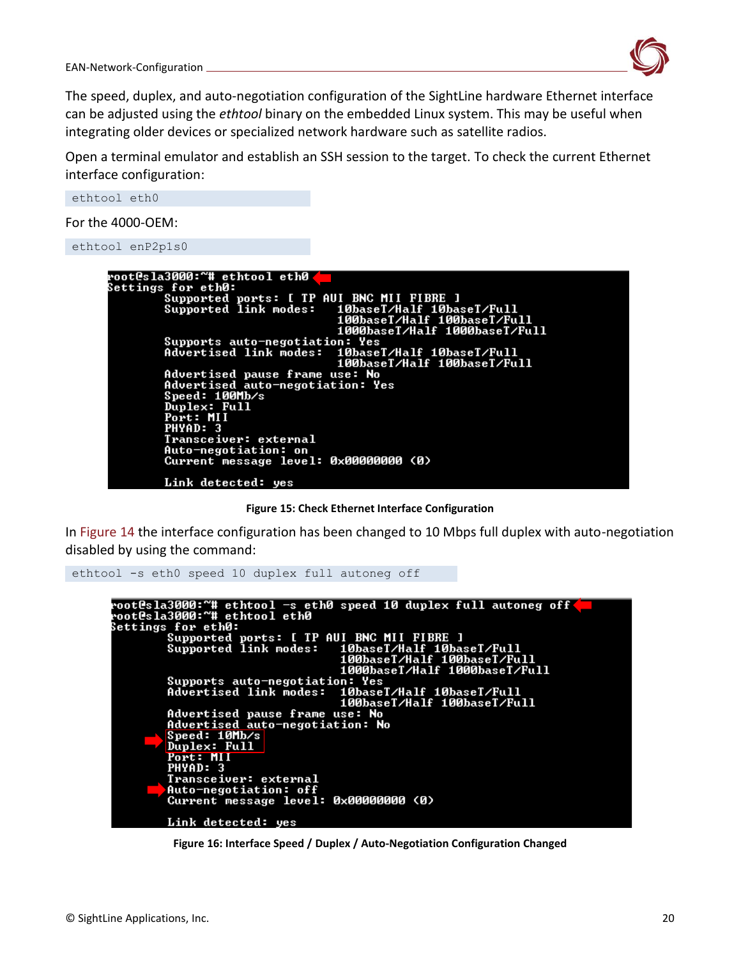

The speed, duplex, and auto-negotiation configuration of the SightLine hardware Ethernet interface can be adjusted using the *ethtool* binary on the embedded Linux system. This may be useful when integrating older devices or specialized network hardware such as satellite radios.

Open a terminal emulator and establish an SSH session to the target. To check the current Ethernet interface configuration:

ethtool eth0

For the 4000-OEM:



**Figure 15: Check Ethernet Interface Configuration**

In Figure 14 the interface configuration has been changed to 10 Mbps full duplex with auto-negotiation disabled by using the command:

ethtool -s eth0 speed 10 duplex full autoneg off

```
root@sla3000:~# ethtool —s eth0 speed 10 duplex full autoneg off<br>root@sla3000:~# ethtool eth0
routesiased. # ethtooi ethe<br>Settings for eth0:<br>Supported ports: [ TP AUI BNC MII FIBRE ]<br>Supported link modes:   100ab2007/451f 1001
                                                  Supports auto-negotiation: Yes<br>Advertised link modes: 10base
                                                  ...<br>10baseT/Half 10baseT/Full<br>100baseT/Half 100baseT/Full
            Advertised pause frame use: No<br><u>Advertised aut</u>o-negotiation: No
            Speed: 10Mb/s
            Duplex: Full
            Port: MII<br>PHYAD: 3
            Transceiver: external
            Auto-negotiation: off
            Current message level: 0x00000000 (0)
            Link detected: yes
```
**Figure 16: Interface Speed / Duplex / Auto-Negotiation Configuration Changed**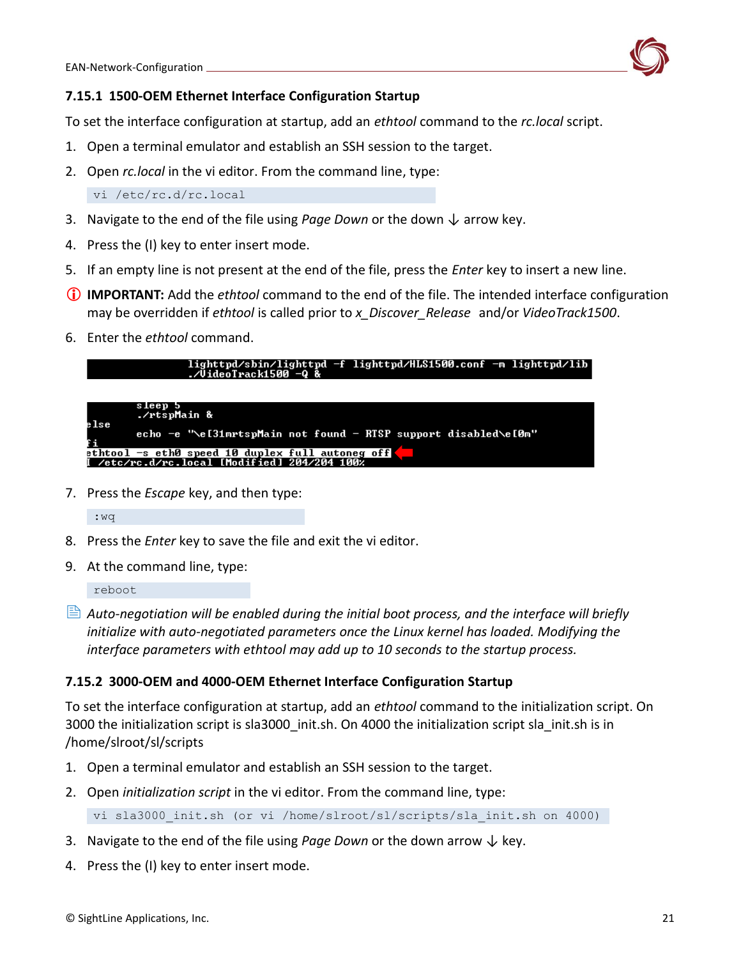

# <span id="page-21-0"></span>**7.15.1 1500-OEM Ethernet Interface Configuration Startup**

To set the interface configuration at startup, add an *ethtool* command to the *rc.local* script.

- 1. Open a terminal emulator and establish an SSH session to the target.
- 2. Open *rc.local* in the vi editor. From the command line, type:

vi /etc/rc.d/rc.local

- 3. Navigate to the end of the file using *Page Down* or the down ↓ arrow key.
- 4. Press the (I) key to enter insert mode.
- 5. If an empty line is not present at the end of the file, press the *Enter* key to insert a new line.
- **IMPORTANT:** Add the *ethtool* command to the end of the file. The intended interface configuration may be overridden if *ethtool* is called prior to *x\_Discover\_Release* and/or *VideoTrack1500*.
- 6. Enter the *ethtool* command.



7. Press the *Escape* key, and then type:

:wq

- 8. Press the *Enter* key to save the file and exit the vi editor.
- 9. At the command line, type:

reboot

 *Auto-negotiation will be enabled during the initial boot process, and the interface will briefly initialize with auto-negotiated parameters once the Linux kernel has loaded. Modifying the interface parameters with ethtool may add up to 10 seconds to the startup process.*

### <span id="page-21-1"></span>**7.15.2 3000-OEM and 4000-OEM Ethernet Interface Configuration Startup**

To set the interface configuration at startup, add an *ethtool* command to the initialization script. On 3000 the initialization script is sla3000 init.sh. On 4000 the initialization script sla init.sh is in /home/slroot/sl/scripts

- 1. Open a terminal emulator and establish an SSH session to the target.
- 2. Open *initialization script* in the vi editor. From the command line, type:

vi sla3000 init.sh (or vi /home/slroot/sl/scripts/sla init.sh on 4000)

- 3. Navigate to the end of the file using *Page Down* or the down arrow  $\downarrow$  key.
- 4. Press the (I) key to enter insert mode.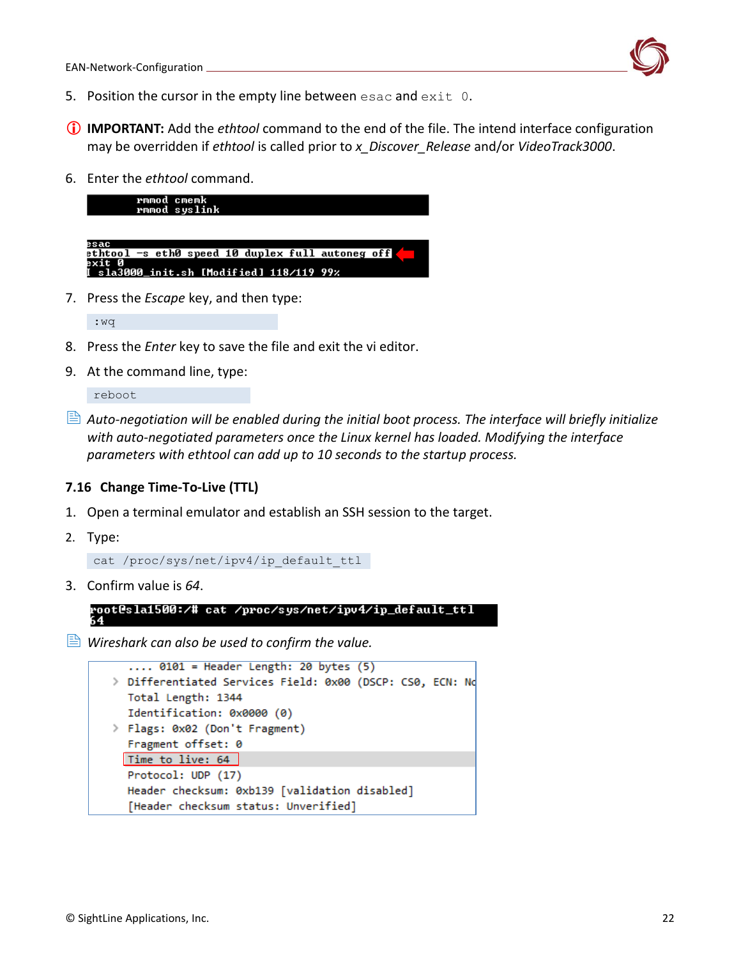

- 5. Position the cursor in the empty line between esac and exit 0.
- **IMPORTANT:** Add the *ethtool* command to the end of the file. The intend interface configuration may be overridden if *ethtool* is called prior to *x\_Discover\_Release* and/or *VideoTrack3000*.
- 6. Enter the *ethtool* command.



7. Press the *Escape* key, and then type:

:wq

- 8. Press the *Enter* key to save the file and exit the vi editor.
- 9. At the command line, type:

reboot

 *Auto-negotiation will be enabled during the initial boot process. The interface will briefly initialize with auto-negotiated parameters once the Linux kernel has loaded. Modifying the interface parameters with ethtool can add up to 10 seconds to the startup process.*

#### <span id="page-22-0"></span>**7.16 Change Time-To-Live (TTL)**

- 1. Open a terminal emulator and establish an SSH session to the target.
- 2. Type:

```
cat /proc/sys/net/ipv4/ip default ttl
```
3. Confirm value is *64*.



*Wireshark can also be used to confirm the value.*

```
\ldots 0101 = Header Length: 20 bytes (5)
> Differentiated Services Field: 0x00 (DSCP: CS0, ECN: No
  Total Length: 1344
  Identification: 0x0000 (0)
> Flags: 0x02 (Don't Fragment)
  Fragment offset: 0
 Time to live: 64
  Protocol: UDP (17)
  Header checksum: 0xb139 [validation disabled]
  [Header checksum status: Unverified]
```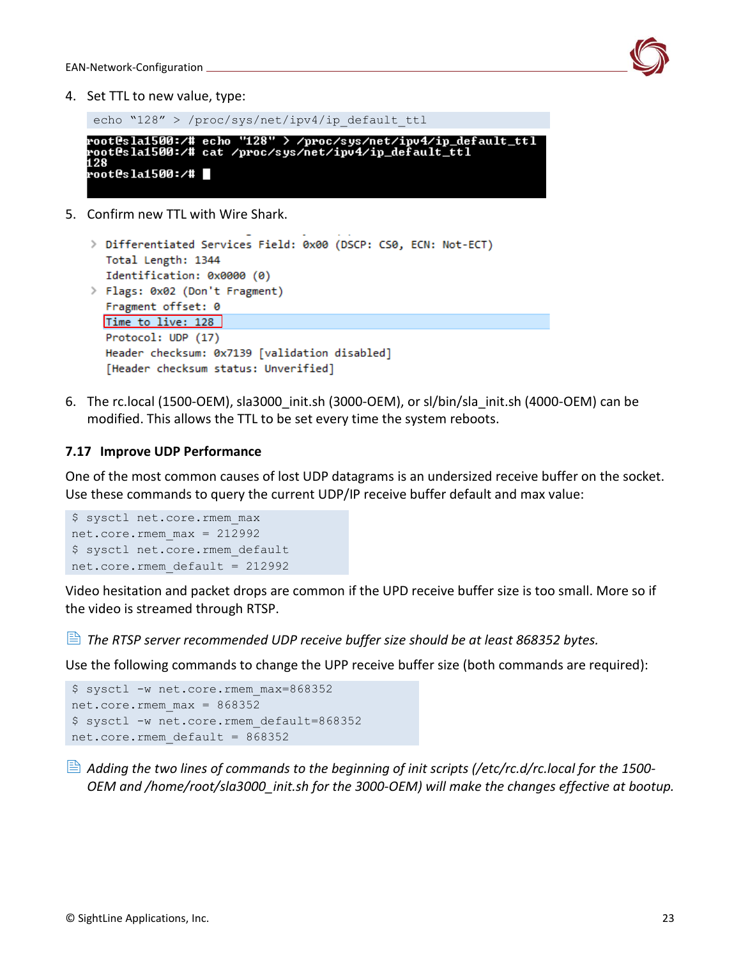

4. Set TTL to new value, type:

echo "128" > /proc/sys/net/ipv4/ip default ttl

root@sla1500:/# echo "128" > /proc/sys/net/ipv4/ip\_default\_ttl root@sla1500:/# cat /proc/sys/net/ipv4/ip\_default\_ttl root@sla1500:/# |

5. Confirm new TTL with Wire Shark.

```
> Differentiated Services Field: 0x00 (DSCP: CS0, ECN: Not-ECT)
  Total Length: 1344
  Identification: 0x0000 (0)
> Flags: 0x02 (Don't Fragment)
  Fragment offset: 0
  Time to live: 128
  Protocol: UDP (17)
  Header checksum: 0x7139 [validation disabled]
  [Header checksum status: Unverified]
```
6. The rc.local (1500-OEM), sla3000 init.sh (3000-OEM), or sl/bin/sla\_init.sh (4000-OEM) can be modified. This allows the TTL to be set every time the system reboots.

#### <span id="page-23-0"></span>**7.17 Improve UDP Performance**

One of the most common causes of lost UDP datagrams is an undersized receive buffer on the socket. Use these commands to query the current UDP/IP receive buffer default and max value:

```
$ sysctl net.core.rmem_max
net.core.rmem max = 212992
$ sysctl net.core.rmem default
net.core.rmem_default = 212992
```
Video hesitation and packet drops are common if the UPD receive buffer size is too small. More so if the video is streamed through RTSP.

*The RTSP server recommended UDP receive buffer size should be at least 868352 bytes.*

Use the following commands to change the UPP receive buffer size (both commands are required):

```
$ sysctl -w net.core.rmem_max=868352
net.core.rmem_max = 868352
$ sysctl -w net.core.rmem_default=868352
net.core.rmem_default = 868352
```
 *Adding the two lines of commands to the beginning of init scripts (/etc/rc.d/rc.local for the 1500- OEM and /home/root/sla3000\_init.sh for the 3000-OEM) will make the changes effective at bootup.*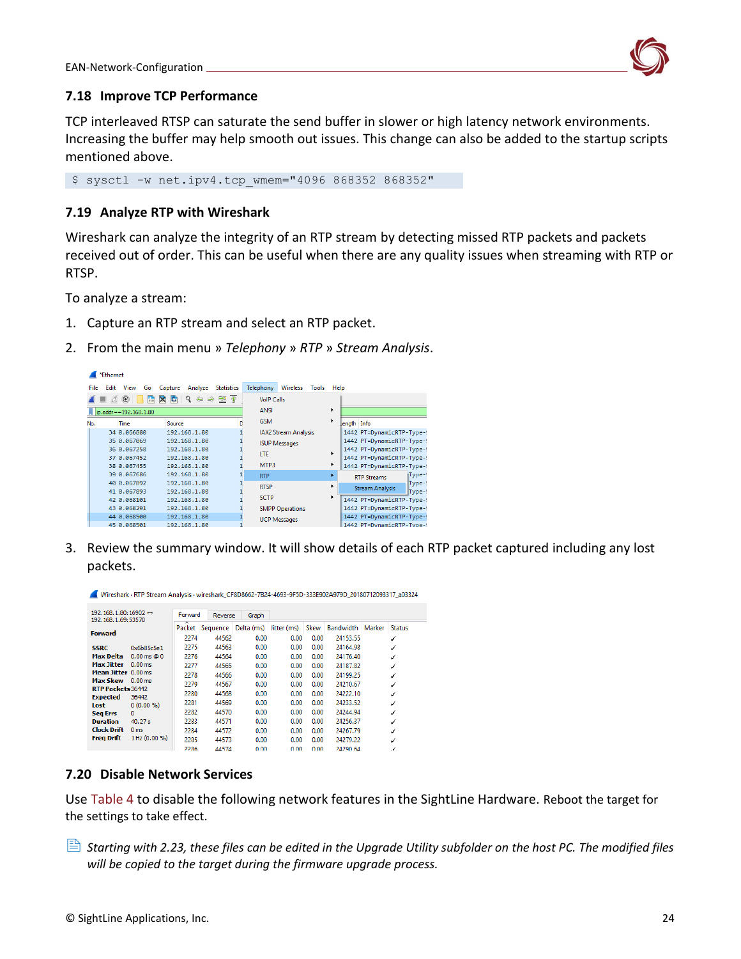

### <span id="page-24-0"></span>**7.18 Improve TCP Performance**

TCP interleaved RTSP can saturate the send buffer in slower or high latency network environments. Increasing the buffer may help smooth out issues. This change can also be added to the startup scripts mentioned above.

<span id="page-24-1"></span>\$ sysctl -w net.ipv4.tcp wmem="4096 868352 868352"

#### **7.19 Analyze RTP with Wireshark**

Wireshark can analyze the integrity of an RTP stream by detecting missed RTP packets and packets received out of order. This can be useful when there are any quality issues when streaming with RTP or RTSP.

To analyze a stream:

- 1. Capture an RTP stream and select an RTP packet.
- 2. From the main menu » *Telephony* » *RTP* » *Stream Analysis*.

|             | *Ethernet |                                   |                                   |                                                                               |                   |                   |                        |       |      |                           |        |
|-------------|-----------|-----------------------------------|-----------------------------------|-------------------------------------------------------------------------------|-------------------|-------------------|------------------------|-------|------|---------------------------|--------|
| <b>File</b> | Edit      | <b>View</b><br>Go                 | Capture                           | Analyze                                                                       | <b>Statistics</b> | Telephony         | Wireless               | Tools | Help |                           |        |
|             |           | $\circledcirc$<br>$\frac{1}{010}$ | $\mathbf{\times}$<br>$\mathbf{C}$ | $\begin{smallmatrix} \bullet & \bullet & \bullet & \bullet \end{smallmatrix}$ |                   | <b>VolP Calls</b> |                        |       |      |                           |        |
|             |           | ip.addr = = 192, 168, 1.80        |                                   |                                                                               |                   | <b>ANSI</b>       |                        |       | ٠    |                           |        |
| No.         |           | <b>Time</b>                       | Source                            |                                                                               |                   | <b>GSM</b>        |                        |       | ٠    | ength Info                |        |
|             |           | 34 0.066880                       |                                   | 192.168.1.80                                                                  |                   |                   | IAX2 Stream Analysis   |       |      | 1442 PT=DynamicRTP-Type-! |        |
|             |           | 35 0.067069                       |                                   | 192.168.1.80                                                                  |                   |                   | <b>ISUP Messages</b>   |       |      | 1442 PT=DynamicRTP-Type-  |        |
|             |           | 36 0.067258                       |                                   | 192.168.1.80                                                                  |                   | <b>LTF</b>        |                        |       |      | 1442 PT=DynamicRTP-Type-! |        |
|             |           | 37 0.067452                       |                                   | 192.168.1.80                                                                  |                   |                   |                        |       |      | 1442 PT=DynamicRTP-Type-! |        |
|             |           | 38 0.067455                       |                                   | 192.168.1.80                                                                  |                   | MTP3              |                        |       | ٠    | 1442 PT=DynamicRTP-Type-  |        |
|             |           | 39 0.067686                       |                                   | 192.168.1.80                                                                  |                   | <b>RTP</b>        |                        |       |      | <b>RTP Streams</b>        | Type-! |
|             |           | 40 0.067892                       |                                   | 192.168.1.80                                                                  |                   | <b>RTSP</b>       |                        |       |      | <b>Stream Analysis</b>    | Type-! |
|             |           | 41 0.067893                       |                                   | 192.168.1.80                                                                  |                   | <b>SCTP</b>       |                        |       |      |                           | Type-! |
|             |           | 42 0.068101                       |                                   | 192.168.1.80                                                                  |                   |                   |                        |       |      | 1442 PT=DynamicRTP-Type-  |        |
|             |           | 43 0.068291                       |                                   | 192.168.1.80                                                                  |                   |                   | <b>SMPP Operations</b> |       |      | 1442 PT=DynamicRTP-Type-! |        |
|             |           | 44 0.068500                       |                                   | 192.168.1.80                                                                  |                   |                   | <b>UCP Messages</b>    |       |      | 1442 PT=DynamicRTP-Type-  |        |
|             |           | 45 0.068501                       |                                   | 192.168.1.80                                                                  |                   |                   |                        |       |      | 1442 PT=DynamicRTP-Type-  |        |

3. Review the summary window. It will show details of each RTP packet captured including any lost packets.

| 192.168.1.80:16902 $\leftrightarrow$<br>192.168.1.69:53570<br><b>Forward</b> |                         | Forward             | Reverse           | Graph              |                     |                |                              |        |                    |
|------------------------------------------------------------------------------|-------------------------|---------------------|-------------------|--------------------|---------------------|----------------|------------------------------|--------|--------------------|
|                                                                              |                         | ᅐ<br>Packet<br>2274 | Sequence<br>44562 | Delta (ms)<br>0.00 | Jitter (ms)<br>0.00 | Skew<br>0.00   | <b>Bandwidth</b><br>24153.55 | Marker | <b>Status</b><br>✔ |
| <b>SSRC</b>                                                                  | 0x6b85c5e1              | 2275                | 44563             | 0.00               | 0.00                | 0.00           | 24164.98                     |        | ✔                  |
| Max Delta                                                                    | $0.00 \text{ ms} \ @ 0$ | 2276                | 44564             | 0.00               | 0.00                | 0.00           | 24176.40                     |        | ✔                  |
| <b>Max Jitter</b>                                                            | $0.00$ ms               | 2277                | 44565             | 0.00               | 0.00                | 0.00           | 24187.82                     |        | ✔                  |
| Mean Jitter 0.00 ms                                                          |                         | 2278                | 44566             | 0.00               | 0.00                | 0.00           | 24199.25                     |        | ✔                  |
| Max Skew                                                                     | $0.00$ ms               | 2279                | 44567             | 0.00               | 0.00                | 0.00           | 24210.67                     |        | ✓                  |
| RTP Packets 36442<br><b>Expected</b>                                         | 36442                   | 2280                | 44568             | 0.00               | 0.00                | 0.00           | 24222.10                     |        | ✔                  |
| Lost                                                                         | $0(0.00\%)$             | 2281                | 44569             | 0.00               | 0.00                | 0.00           | 24233.52                     |        | ✔                  |
| <b>Seq Errs</b>                                                              | $\mathbf{0}$            | 2282                | 44570             | 0.00               | 0.00                | 0.00           | 24244.94                     |        | ✓                  |
| <b>Duration</b>                                                              | 40.27 s                 | 2283                | 44571             | 0.00               | 0.00                | 0.00           | 24256.37                     |        | ✓                  |
| <b>Clock Drift</b>                                                           | 0 <sub>ms</sub>         | 2284                | 44572             | 0.00               | 0.00                | 0.00           | 24267.79                     |        | ✔                  |
| <b>Freg Drift</b>                                                            | 1 Hz (0.00 %)           | 2285                | 44573             | 0.00               | 0.00                | 0.00           | 24279.22                     |        | ✔                  |
|                                                                              |                         | 2286                | 44574             | n nn               | n nn                | n <sub>n</sub> | 24290.64                     |        | $\cdot$            |

Wireshark · RTP Stream Analysis · wireshark\_CF8D8662-7B24-4693-9F5D-333E902A979D\_20180712093317\_a03324

#### <span id="page-24-2"></span>**7.20 Disable Network Services**

Use Table 4 to disable the following network features in the SightLine Hardware. Reboot the target for the settings to take effect.

 *Starting with 2.23, these files can be edited in the Upgrade Utility subfolder on the host PC. The modified files will be copied to the target during the firmware upgrade process.*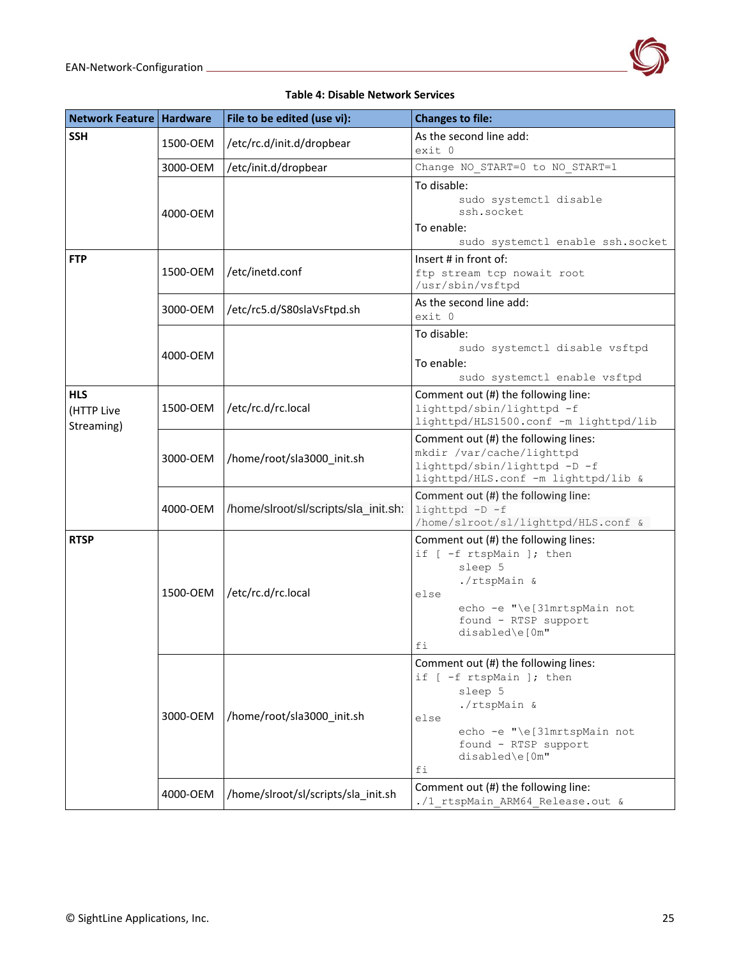

#### **Table 4: Disable Network Services**

| Network Feature   Hardware             |          | File to be edited (use vi):          | <b>Changes to file:</b>                                                                                                                                                            |  |  |
|----------------------------------------|----------|--------------------------------------|------------------------------------------------------------------------------------------------------------------------------------------------------------------------------------|--|--|
| <b>SSH</b>                             | 1500-OEM | /etc/rc.d/init.d/dropbear            | As the second line add:<br>exit 0                                                                                                                                                  |  |  |
|                                        | 3000-OEM | /etc/init.d/dropbear                 | Change NO START=0 to NO START=1                                                                                                                                                    |  |  |
|                                        | 4000-OEM |                                      | To disable:<br>sudo systemctl disable<br>ssh.socket<br>To enable:<br>sudo systemctl enable ssh.socket                                                                              |  |  |
| <b>FTP</b>                             | 1500-OEM | /etc/inetd.conf                      | Insert $#$ in front of:<br>ftp stream tcp nowait root<br>/usr/sbin/vsftpd                                                                                                          |  |  |
|                                        | 3000-OEM | /etc/rc5.d/S80slaVsFtpd.sh           | As the second line add:<br>exit 0                                                                                                                                                  |  |  |
|                                        | 4000-OEM |                                      | To disable:<br>sudo systemctl disable vsftpd<br>To enable:<br>sudo systemctl enable vsftpd                                                                                         |  |  |
| <b>HLS</b><br>(HTTP Live<br>Streaming) | 1500-OEM | /etc/rc.d/rc.local                   | Comment out (#) the following line:<br>lighttpd/sbin/lighttpd -f<br>lighttpd/HLS1500.conf -m lighttpd/lib                                                                          |  |  |
|                                        | 3000-OEM | /home/root/sla3000 init.sh           | Comment out (#) the following lines:<br>mkdir /var/cache/lighttpd<br>lighttpd/sbin/lighttpd -D -f<br>lighttpd/HLS.conf -m lighttpd/lib &                                           |  |  |
|                                        | 4000-OEM | /home/slroot/sl/scripts/sla_init.sh: | Comment out (#) the following line:<br>lighttpd -D -f<br>/home/slroot/sl/lighttpd/HLS.conf &                                                                                       |  |  |
| <b>RTSP</b>                            | 1500-OEM | /etc/rc.d/rc.local                   | Comment out (#) the following lines:<br>if [ -f rtspMain ]; then<br>sleep 5<br>./rtspMain &<br>else<br>echo -e "\e[31mrtspMain not<br>found - RTSP support<br>disabled\e[0m"<br>fi |  |  |
|                                        | 3000-OEM | /home/root/sla3000_init.sh           | Comment out (#) the following lines:<br>if [ -f rtspMain ]; then<br>sleep 5<br>./rtspMain &<br>else<br>echo -e "\e[31mrtspMain not<br>found - RTSP support<br>disabled\e[0m"<br>fi |  |  |
|                                        | 4000-OEM | /home/slroot/sl/scripts/sla_init.sh  | Comment out (#) the following line:<br>./1 rtspMain ARM64 Release.out &                                                                                                            |  |  |